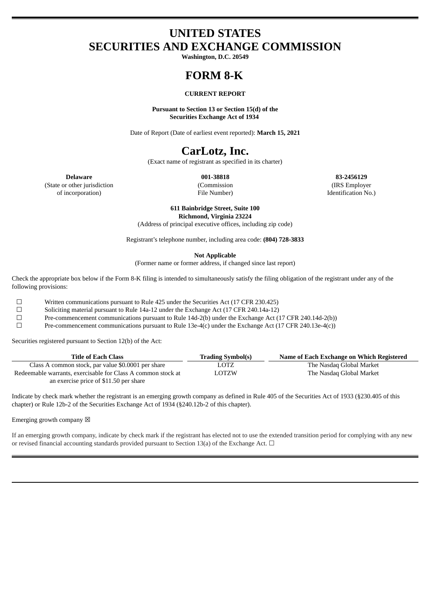# **UNITED STATES SECURITIES AND EXCHANGE COMMISSION**

**Washington, D.C. 20549**

# **FORM 8-K**

## **CURRENT REPORT**

**Pursuant to Section 13 or Section 15(d) of the Securities Exchange Act of 1934**

Date of Report (Date of earliest event reported): **March 15, 2021**

# **CarLotz, Inc.**

(Exact name of registrant as specified in its charter)

**Delaware 001-38818 83-2456129** (State or other jurisdiction of incorporation)

(Commission File Number)

(IRS Employer Identification No.)

**611 Bainbridge Street, Suite 100 Richmond, Virginia 23224**

(Address of principal executive offices, including zip code)

Registrant's telephone number, including area code: **(804) 728-3833**

**Not Applicable**

(Former name or former address, if changed since last report)

Check the appropriate box below if the Form 8-K filing is intended to simultaneously satisfy the filing obligation of the registrant under any of the following provisions:

☐ Written communications pursuant to Rule 425 under the Securities Act (17 CFR 230.425)

☐ Soliciting material pursuant to Rule 14a-12 under the Exchange Act (17 CFR 240.14a-12)

 $\Box$  Pre-commencement communications pursuant to Rule 14d-2(b) under the Exchange Act (17 CFR 240.14d-2(b))<br>Pre-commencement communications pursuant to Rule 13e-4(c) under the Exchange Act (17 CFR 240.13e-4(c))

Pre-commencement communications pursuant to Rule 13e-4(c) under the Exchange Act (17 CFR 240.13e-4(c))

Securities registered pursuant to Section 12(b) of the Act:

| <b>Title of Each Class</b>                                   | <b>Trading Symbol(s)</b> | Name of Each Exchange on Which Registered |
|--------------------------------------------------------------|--------------------------|-------------------------------------------|
| Class A common stock, par value \$0.0001 per share           | LOTZ                     | The Nasdaq Global Market                  |
| Redeemable warrants, exercisable for Class A common stock at | LOTZW                    | The Nasdaq Global Market                  |
| an exercise price of \$11.50 per share                       |                          |                                           |

Indicate by check mark whether the registrant is an emerging growth company as defined in Rule 405 of the Securities Act of 1933 (§230.405 of this chapter) or Rule 12b-2 of the Securities Exchange Act of 1934 (§240.12b-2 of this chapter).

## Emerging growth company  $\boxtimes$

If an emerging growth company, indicate by check mark if the registrant has elected not to use the extended transition period for complying with any new or revised financial accounting standards provided pursuant to Section 13(a) of the Exchange Act.  $\Box$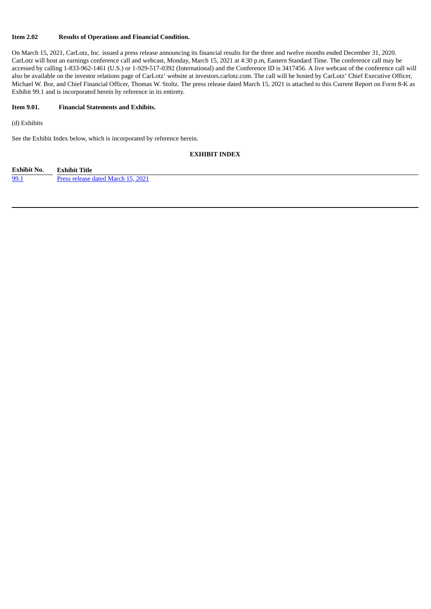# **Item 2.02 Results of Operations and Financial Condition.**

On March 15, 2021, CarLotz, Inc. issued a press release announcing its financial results for the three and twelve months ended December 31, 2020. CarLotz will host an earnings conference call and webcast, Monday, March 15, 2021 at 4:30 p.m, Eastern Standard Time. The conference call may be accessed by calling 1-833-962-1461 (U.S.) or 1-929-517-0392 (International) and the Conference ID is 3417456. A live webcast of the conference call will also be available on the investor relations page of CarLotz' website at investors.carlotz.com. The call will be hosted by CarLotz' Chief Executive Officer, Michael W. Bor, and Chief Financial Officer, Thomas W. Stoltz. The press release dated March 15, 2021 is attached to this Current Report on Form 8-K as Exhibit 99.1 and is incorporated herein by reference in its entirety.

## **Item 9.01. Financial Statements and Exhibits.**

(d) Exhibits

See the Exhibit Index below, which is incorporated by reference herein.

## **EXHIBIT INDEX**

| <b>Exhibit No.</b> | <b>Exhibit Title</b>               |
|--------------------|------------------------------------|
| 99.1               | Press release dated March 15, 2021 |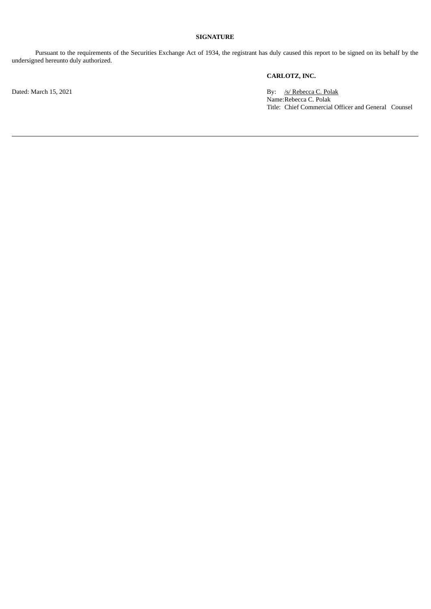# **SIGNATURE**

Pursuant to the requirements of the Securities Exchange Act of 1934, the registrant has duly caused this report to be signed on its behalf by the undersigned hereunto duly authorized.

# **CARLOTZ, INC.**

Dated: March 15, 2021 By: /s/ Rebecca C. Polak Name:Rebecca C. Polak Title: Chief Commercial Officer and General Counsel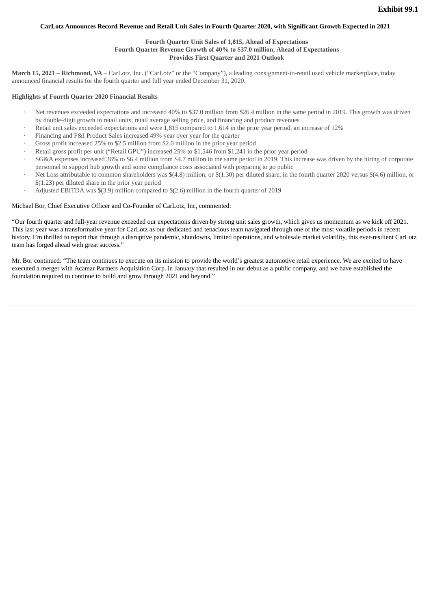## <span id="page-3-0"></span>CarLotz Announces Record Revenue and Retail Unit Sales in Fourth Quarter 2020, with Significant Growth Expected in 2021

## **Fourth Quarter Unit Sales of 1,815, Ahead of Expectations Fourth Quarter Revenue Growth of 40% to \$37.0 million, Ahead of Expectations Provides First Quarter and 2021 Outlook**

**March 15, 2021 – Richmond, VA** – CarLotz, Inc. ("CarLotz" or the "Company"), a leading consignment-to-retail used vehicle marketplace, today announced financial results for the fourth quarter and full year ended December 31, 2020.

#### **Highlights of Fourth Quarter 2020 Financial Results**

- Net revenues exceeded expectations and increased 40% to \$37.0 million from \$26.4 million in the same period in 2019. This growth was driven by double-digit growth in retail units, retail average selling price, and financing and product revenues
- · Retail unit sales exceeded expectations and were 1,815 compared to 1,614 in the prior year period, an increase of 12%
- Financing and F&I Product Sales increased 49% year over year for the quarter
- Gross profit increased 25% to \$2.5 million from \$2.0 million in the prior year period
- · Retail gross profit per unit ("Retail GPU") increased 25% to \$1,546 from \$1,241 in the prior year period
- · SG&A expenses increased 36% to \$6.4 million from \$4.7 million in the same period in 2019. This increase was driven by the hiring of corporate personnel to support hub growth and some compliance costs associated with preparing to go public
- · Net Loss attributable to common shareholders was \$(4.8) million, or \$(1.30) per diluted share, in the fourth quarter 2020 versus \$(4.6) million, or \$(1.23) per diluted share in the prior year period
- · Adjusted EBITDA was \$(3.9) million compared to \$(2.6) million in the fourth quarter of 2019

#### Michael Bor, Chief Executive Officer and Co-Founder of CarLotz, Inc, commented:

"Our fourth quarter and full-year revenue exceeded our expectations driven by strong unit sales growth, which gives us momentum as we kick off 2021. This last year was a transformative year for CarLotz as our dedicated and tenacious team navigated through one of the most volatile periods in recent history. I'm thrilled to report that through a disruptive pandemic, shutdowns, limited operations, and wholesale market volatility, this ever-resilient CarLotz team has forged ahead with great success."

Mr. Bor continued: "The team continues to execute on its mission to provide the world's greatest automotive retail experience. We are excited to have executed a merger with Acamar Partners Acquisition Corp. in January that resulted in our debut as a public company, and we have established the foundation required to continue to build and grow through 2021 and beyond."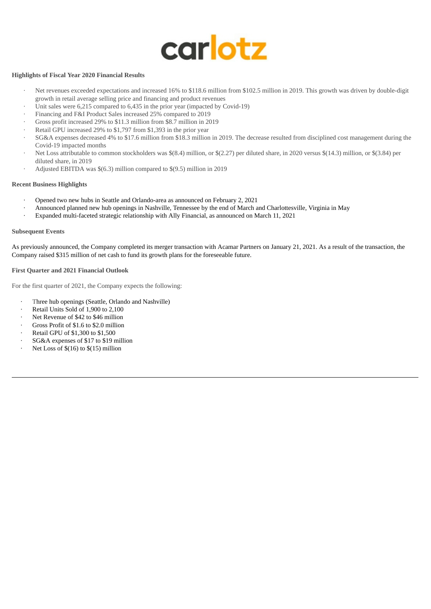

# **Highlights of Fiscal Year 2020 Financial Results**

- · Net revenues exceeded expectations and increased 16% to \$118.6 million from \$102.5 million in 2019. This growth was driven by double-digit growth in retail average selling price and financing and product revenues
- Unit sales were 6,215 compared to 6,435 in the prior year (impacted by Covid-19)
- · Financing and F&I Product Sales increased 25% compared to 2019
- · Gross profit increased 29% to \$11.3 million from \$8.7 million in 2019
- Retail GPU increased 29% to \$1,797 from \$1,393 in the prior year
- · SG&A expenses decreased 4% to \$17.6 million from \$18.3 million in 2019. The decrease resulted from disciplined cost management during the Covid-19 impacted months
- · Net Loss attributable to common stockholders was \$(8.4) million, or \$(2.27) per diluted share, in 2020 versus \$(14.3) million, or \$(3.84) per diluted share, in 2019
- Adjusted EBITDA was  $$(6.3)$  million compared to  $$(9.5)$  million in 2019

#### **Recent Business Highlights**

- · Opened two new hubs in Seattle and Orlando-area as announced on February 2, 2021
- · Announced planned new hub openings in Nashville, Tennessee by the end of March and Charlottesville, Virginia in May
- · Expanded multi-faceted strategic relationship with Ally Financial, as announced on March 11, 2021

## **Subsequent Events**

As previously announced, the Company completed its merger transaction with Acamar Partners on January 21, 2021. As a result of the transaction, the Company raised \$315 million of net cash to fund its growth plans for the foreseeable future.

## **First Quarter and 2021 Financial Outlook**

For the first quarter of 2021, the Company expects the following:

- Three hub openings (Seattle, Orlando and Nashville)
- Retail Units Sold of 1,900 to 2,100
- Net Revenue of \$42 to \$46 million
- · Gross Profit of \$1.6 to \$2.0 million
- · Retail GPU of \$1,300 to \$1,500
- SG&A expenses of \$17 to \$19 million
- Net Loss of  $$(16)$  to  $$(15)$  million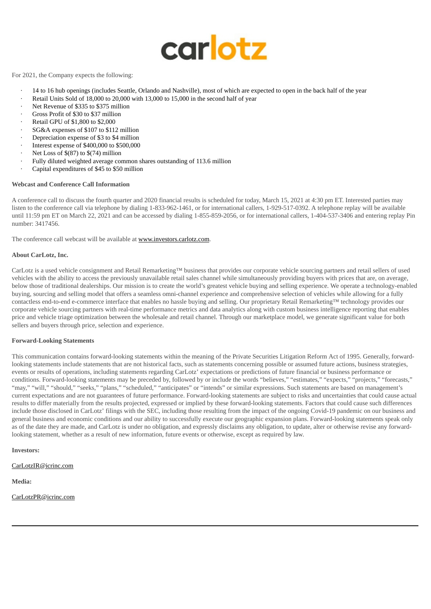

## For 2021, the Company expects the following:

- · 14 to 16 hub openings (includes Seattle, Orlando and Nashville), most of which are expected to open in the back half of the year
- Retail Units Sold of 18,000 to 20,000 with 13,000 to 15,000 in the second half of year
- Net Revenue of \$335 to \$375 million
- Gross Profit of \$30 to \$37 million
- Retail GPU of \$1,800 to \$2,000
- · SG&A expenses of \$107 to \$112 million
- Depreciation expense of \$3 to \$4 million
- · Interest expense of \$400,000 to \$500,000
- Net Loss of  $$(87)$  to  $$(74)$  million
- Fully diluted weighted average common shares outstanding of 113.6 million
- Capital expenditures of \$45 to \$50 million

## **Webcast and Conference Call Information**

A conference call to discuss the fourth quarter and 2020 financial results is scheduled for today, March 15, 2021 at 4:30 pm ET. Interested parties may listen to the conference call via telephone by dialing 1-833-962-1461, or for international callers, 1-929-517-0392. A telephone replay will be available until 11:59 pm ET on March 22, 2021 and can be accessed by dialing 1-855-859-2056, or for international callers, 1-404-537-3406 and entering replay Pin number: 3417456.

The conference call webcast will be available at www.investors.carlotz.com.

## **About CarLotz, Inc.**

CarLotz is a used vehicle consignment and Retail Remarketing™ business that provides our corporate vehicle sourcing partners and retail sellers of used vehicles with the ability to access the previously unavailable retail sales channel while simultaneously providing buyers with prices that are, on average, below those of traditional dealerships. Our mission is to create the world's greatest vehicle buying and selling experience. We operate a technology-enabled buying, sourcing and selling model that offers a seamless omni-channel experience and comprehensive selection of vehicles while allowing for a fully contactless end-to-end e-commerce interface that enables no hassle buying and selling. Our proprietary Retail Remarketing™ technology provides our corporate vehicle sourcing partners with real-time performance metrics and data analytics along with custom business intelligence reporting that enables price and vehicle triage optimization between the wholesale and retail channel. Through our marketplace model, we generate significant value for both sellers and buyers through price, selection and experience.

#### **Forward-Looking Statements**

This communication contains forward-looking statements within the meaning of the Private Securities Litigation Reform Act of 1995. Generally, forwardlooking statements include statements that are not historical facts, such as statements concerning possible or assumed future actions, business strategies, events or results of operations, including statements regarding CarLotz' expectations or predictions of future financial or business performance or conditions. Forward-looking statements may be preceded by, followed by or include the words "believes," "estimates," "expects," "projects," "forecasts," "may," "will," "should," "seeks," "plans," "scheduled," "anticipates" or "intends" or similar expressions. Such statements are based on management's current expectations and are not guarantees of future performance. Forward-looking statements are subject to risks and uncertainties that could cause actual results to differ materially from the results projected, expressed or implied by these forward-looking statements. Factors that could cause such differences include those disclosed in CarLotz' filings with the SEC, including those resulting from the impact of the ongoing Covid-19 pandemic on our business and general business and economic conditions and our ability to successfully execute our geographic expansion plans. Forward-looking statements speak only as of the date they are made, and CarLotz is under no obligation, and expressly disclaims any obligation, to update, alter or otherwise revise any forwardlooking statement, whether as a result of new information, future events or otherwise, except as required by law.

#### **Investors:**

## CarLotzIR@icrinc.com

**Media:**

CarLotzPR@icrinc.com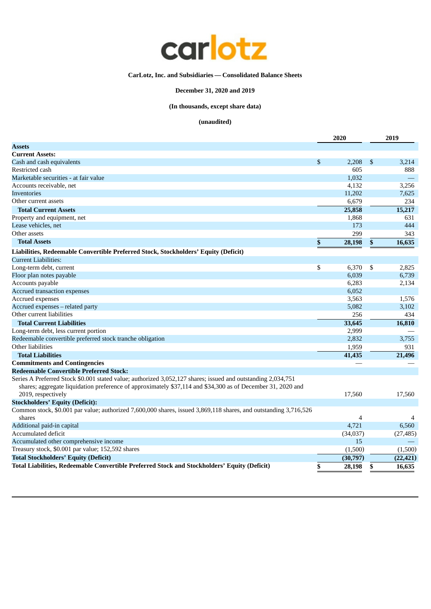

# **CarLotz, Inc. and Subsidiaries — Consolidated Balance Sheets**

# **December 31, 2020 and 2019**

# **(In thousands, except share data)**

|                                                                                                                                   | 2020         |     | 2019      |
|-----------------------------------------------------------------------------------------------------------------------------------|--------------|-----|-----------|
| Assets                                                                                                                            |              |     |           |
| <b>Current Assets:</b>                                                                                                            |              |     |           |
| Cash and cash equivalents                                                                                                         | \$<br>2,208  | \$  | 3,214     |
| Restricted cash                                                                                                                   | 605          |     | 888       |
| Marketable securities - at fair value                                                                                             | 1,032        |     |           |
| Accounts receivable, net                                                                                                          | 4,132        |     | 3,256     |
| Inventories                                                                                                                       | 11,202       |     | 7,625     |
| Other current assets                                                                                                              | 6,679        |     | 234       |
| <b>Total Current Assets</b>                                                                                                       | 25,858       |     | 15,217    |
| Property and equipment, net                                                                                                       | 1,868        |     | 631       |
| Lease vehicles, net                                                                                                               | 173          |     | 444       |
| Other assets                                                                                                                      | 299          |     | 343       |
| <b>Total Assets</b>                                                                                                               | \$<br>28,198 | \$  | 16,635    |
| Liabilities, Redeemable Convertible Preferred Stock, Stockholders' Equity (Deficit)                                               |              |     |           |
| Current Liabilities:                                                                                                              |              |     |           |
| Long-term debt, current                                                                                                           | \$<br>6,370  | -\$ | 2,825     |
| Floor plan notes payable                                                                                                          | 6,039        |     | 6,739     |
| Accounts payable                                                                                                                  | 6,283        |     | 2,134     |
| Accrued transaction expenses                                                                                                      | 6,052        |     |           |
| Accrued expenses                                                                                                                  | 3,563        |     | 1,576     |
| Accrued expenses - related party                                                                                                  | 5,082        |     | 3,102     |
| Other current liabilities                                                                                                         | 256          |     | 434       |
| <b>Total Current Liabilities</b>                                                                                                  | 33,645       |     | 16,810    |
| Long-term debt, less current portion                                                                                              | 2,999        |     |           |
| Redeemable convertible preferred stock tranche obligation                                                                         | 2,832        |     | 3,755     |
| Other liabilities                                                                                                                 | 1,959        |     | 931       |
| <b>Total Liabilities</b>                                                                                                          | 41,435       |     | 21,496    |
| <b>Commitments and Contingencies</b>                                                                                              |              |     |           |
| <b>Redeemable Convertible Preferred Stock:</b>                                                                                    |              |     |           |
| Series A Preferred Stock \$0.001 stated value; authorized 3,052,127 shares; issued and outstanding 2,034,751                      |              |     |           |
| shares; aggregate liquidation preference of approximately \$37,114 and \$34,300 as of December 31, 2020 and<br>2019, respectively | 17,560       |     | 17,560    |
| <b>Stockholders' Equity (Deficit):</b>                                                                                            |              |     |           |
| Common stock, \$0.001 par value; authorized 7,600,000 shares, issued 3,869,118 shares, and outstanding 3,716,526                  |              |     |           |
| shares                                                                                                                            | 4            |     | 4         |
| Additional paid-in capital                                                                                                        | 4,721        |     | 6,560     |
| Accumulated deficit                                                                                                               | (34,037)     |     | (27, 485) |
| Accumulated other comprehensive income                                                                                            | 15           |     |           |
| Treasury stock, \$0.001 par value; 152,592 shares                                                                                 | (1,500)      |     | (1,500)   |
| <b>Total Stockholders' Equity (Deficit)</b>                                                                                       | (30,797)     |     | (22, 421) |
| Total Liabilities, Redeemable Convertible Preferred Stock and Stockholders' Equity (Deficit)                                      | \$<br>28,198 | \$  | 16,635    |
|                                                                                                                                   |              |     |           |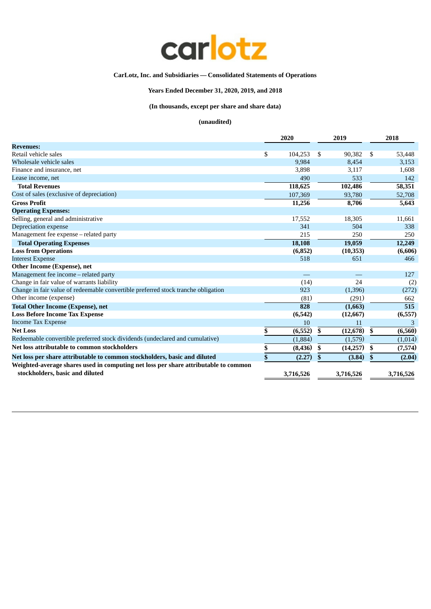

# **CarLotz, Inc. and Subsidiaries — Consolidated Statements of Operations**

# **Years Ended December 31, 2020, 2019, and 2018**

**(In thousands, except per share and share data)**

|                                                                                                                        | 2020 |           | 2019            | 2018          |  |
|------------------------------------------------------------------------------------------------------------------------|------|-----------|-----------------|---------------|--|
| <b>Revenues:</b>                                                                                                       |      |           |                 |               |  |
| Retail vehicle sales                                                                                                   | \$   | 104,253   | \$<br>90,382    | \$<br>53,448  |  |
| Wholesale vehicle sales                                                                                                |      | 9,984     | 8,454           | 3,153         |  |
| Finance and insurance, net                                                                                             |      | 3,898     | 3,117           | 1,608         |  |
| Lease income, net                                                                                                      |      | 490       | 533             | 142           |  |
| <b>Total Revenues</b>                                                                                                  |      | 118,625   | 102,486         | 58,351        |  |
| Cost of sales (exclusive of depreciation)                                                                              |      | 107,369   | 93,780          | 52,708        |  |
| <b>Gross Profit</b>                                                                                                    |      | 11,256    | 8,706           | 5,643         |  |
| <b>Operating Expenses:</b>                                                                                             |      |           |                 |               |  |
| Selling, general and administrative                                                                                    |      | 17,552    | 18,305          | 11,661        |  |
| Depreciation expense                                                                                                   |      | 341       | 504             | 338           |  |
| Management fee expense - related party                                                                                 |      | 215       | 250             | 250           |  |
| <b>Total Operating Expenses</b>                                                                                        |      | 18,108    | 19,059          | 12,249        |  |
| <b>Loss from Operations</b>                                                                                            |      | (6, 852)  | (10, 353)       | (6,606)       |  |
| <b>Interest Expense</b>                                                                                                |      | 518       | 651             | 466           |  |
| Other Income (Expense), net                                                                                            |      |           |                 |               |  |
| Management fee income - related party                                                                                  |      |           |                 | 127           |  |
| Change in fair value of warrants liability                                                                             |      | (14)      | 24              | (2)           |  |
| Change in fair value of redeemable convertible preferred stock tranche obligation                                      |      | 923       | (1,396)         | (272)         |  |
| Other income (expense)                                                                                                 |      | (81)      | (291)           | 662           |  |
| <b>Total Other Income (Expense), net</b>                                                                               |      | 828       | (1,663)         | 515           |  |
| <b>Loss Before Income Tax Expense</b>                                                                                  |      | (6, 542)  | (12, 667)       | (6, 557)      |  |
| <b>Income Tax Expense</b>                                                                                              |      | 10        | 11              | 3             |  |
| <b>Net Loss</b>                                                                                                        | \$   | (6, 552)  | \$<br>(12, 678) | \$<br>(6,560) |  |
| Redeemable convertible preferred stock dividends (undeclared and cumulative)                                           |      | (1,884)   | (1,579)         | (1,014)       |  |
| Net loss attributable to common stockholders                                                                           | \$   | (8, 436)  | \$<br>(14,257)  | \$<br>(7,574) |  |
| Net loss per share attributable to common stockholders, basic and diluted                                              | \$   | (2.27)    | \$<br>(3.84)    | \$<br>(2.04)  |  |
| Weighted-average shares used in computing net loss per share attributable to common<br>stockholders, basic and diluted |      | 3,716,526 | 3,716,526       | 3,716,526     |  |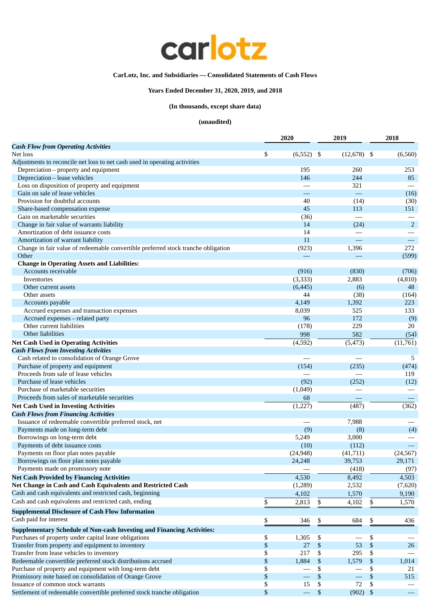

# **CarLotz, Inc. and Subsidiaries — Consolidated Statements of Cash Flows**

# **Years Ended December 31, 2020, 2019, and 2018**

# **(In thousands, except share data)**

|                                                                                   |      | 2020      | 2019              |              | 2018           |
|-----------------------------------------------------------------------------------|------|-----------|-------------------|--------------|----------------|
| <b>Cash Flow from Operating Activities</b>                                        |      |           |                   |              |                |
| Net loss                                                                          | \$   | (6, 552)  | - \$<br>(12, 678) | -\$          | (6,560)        |
| Adjustments to reconcile net loss to net cash used in operating activities        |      |           |                   |              |                |
| Depreciation – property and equipment                                             |      | 195       | 260               |              | 253            |
| Depreciation - lease vehicles                                                     |      | 146       | 244               |              | 85             |
| Loss on disposition of property and equipment                                     |      |           | 321               |              |                |
| Gain on sale of lease vehicles                                                    |      |           | $\equiv$          |              | (16)           |
| Provision for doubtful accounts                                                   |      | 40        | (14)              |              | (30)           |
| Share-based compensation expense                                                  |      | 45        | 113               |              | 151            |
| Gain on marketable securities                                                     |      | (36)      |                   |              |                |
| Change in fair value of warrants liability                                        |      | 14        | (24)              |              | $\overline{2}$ |
| Amortization of debt issuance costs                                               |      | 14        |                   |              |                |
| Amortization of warrant liability                                                 |      | 11        |                   |              |                |
| Change in fair value of redeemable convertible preferred stock tranche obligation |      | (923)     | 1,396             |              | 272            |
| Other                                                                             |      |           |                   |              | (599)          |
| <b>Change in Operating Assets and Liabilities:</b>                                |      |           |                   |              |                |
| Accounts receivable                                                               |      | (916)     | (830)             |              | (706)          |
| Inventories                                                                       |      | (3, 333)  | 2,883             |              | (4, 810)       |
| Other current assets                                                              |      | (6, 445)  | (6)               |              | 48             |
| Other assets                                                                      |      | 44        | (38)              |              | (164)          |
| Accounts payable                                                                  |      | 4,149     | 1,392             |              | 223            |
| Accrued expenses and transaction expenses                                         |      | 8,039     | 525               |              | 133            |
| Accrued expenses - related party                                                  |      | 96        | 172               |              | (9)            |
| Other current liabilities                                                         |      | (178)     | 229               |              | 20             |
| Other liabilities                                                                 |      | 998       | 582               |              | (54)           |
| <b>Net Cash Used in Operating Activities</b>                                      |      | (4,592)   | (5, 473)          |              | (11,761)       |
| <b>Cash Flows from Investing Activities</b>                                       |      |           |                   |              |                |
| Cash related to consolidation of Orange Grove                                     |      |           |                   |              | 5              |
| Purchase of property and equipment                                                |      | (154)     | (235)             |              | (474)          |
| Proceeds from sale of lease vehicles                                              |      |           |                   |              | 119            |
| Purchase of lease vehicles                                                        |      | (92)      | (252)             |              | (12)           |
| Purchase of marketable securities                                                 |      | (1,049)   |                   |              |                |
| Proceeds from sales of marketable securities                                      |      | 68        |                   |              |                |
| <b>Net Cash Used in Investing Activities</b>                                      |      | (1,227)   | (487)             |              | (362)          |
| <b>Cash Flows from Financing Activities</b>                                       |      |           |                   |              |                |
| Issuance of redeemable convertible preferred stock, net                           |      |           | 7,988             |              |                |
| Payments made on long-term debt                                                   |      | (9)       | (8)               |              | (4)            |
| Borrowings on long-term debt                                                      |      | 5,249     | 3,000             |              |                |
| Payments of debt issuance costs                                                   |      | (10)      | (112)             |              |                |
| Payments on floor plan notes payable                                              |      | (24, 948) | (41, 711)         |              | (24, 567)      |
| Borrowings on floor plan notes payable                                            |      | 24,248    | 39,753            |              | 29,171         |
| Payments made on promissory note                                                  |      |           | (418)             |              | (97)           |
| <b>Net Cash Provided by Financing Activities</b>                                  |      | 4,530     | 8,492             |              | 4,503          |
| Net Change in Cash and Cash Equivalents and Restricted Cash                       |      | (1,289)   | 2,532             |              | (7,620)        |
| Cash and cash equivalents and restricted cash, beginning                          |      | 4,102     | 1,570             |              | 9,190          |
| Cash and cash equivalents and restricted cash, ending                             | \$   | 2,813     | \$<br>4,102       | \$           | 1,570          |
| <b>Supplemental Disclosure of Cash Flow Information</b>                           |      |           |                   |              |                |
|                                                                                   |      |           |                   |              |                |
| Cash paid for interest                                                            | \$   | 346       | \$<br>684         | \$           | 436            |
| <b>Supplementary Schedule of Non-cash Investing and Financing Activities:</b>     |      |           |                   |              |                |
| Purchases of property under capital lease obligations                             | \$   | 1,305     | \$                | \$           |                |
| Transfer from property and equipment to inventory                                 | \$   | 27        | $\$$<br>53        | $\mathbb{S}$ | 26             |
| Transfer from lease vehicles to inventory                                         | \$   | 217       | \$<br>295         | \$           |                |
| Redeemable convertible preferred stock distributions accrued                      | $\,$ | 1,884     | \$<br>1,579       | \$           | 1,014          |
| Purchase of property and equipment with long-term debt                            | \$   |           | \$                | \$           | 21             |
| Promissory note based on consolidation of Orange Grove                            | $\,$ |           | \$                | \$           | 515            |
| Issuance of common stock warrants                                                 | \$   | 15        | 72<br>\$          | \$           |                |
| Settlement of redeemable convertible preferred stock tranche obligation           | \$   |           | \$<br>$(902)$ \$  |              |                |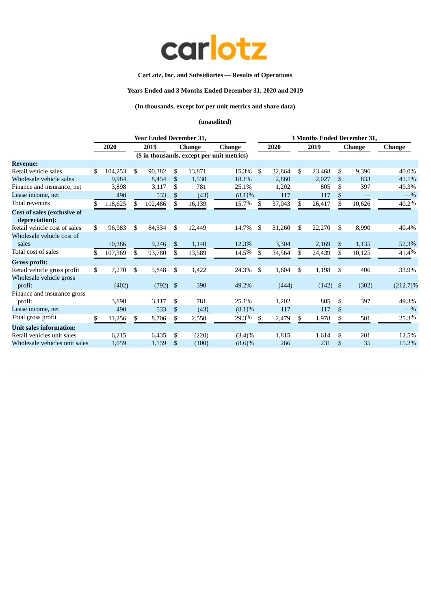

# **CarLotz, Inc. and Subsidiaries — Results of Operations**

# **Years Ended and 3 Months Ended December 31, 2020 and 2019**

# **(In thousands, except for per unit metrics and share data)**

|     |         |         |         |                          |            |                                                           | 3 Months Ended December 31,                            |           |                 |        |                 |            |                         |  |
|-----|---------|---------|---------|--------------------------|------------|-----------------------------------------------------------|--------------------------------------------------------|-----------|-----------------|--------|-----------------|------------|-------------------------|--|
|     | 2020    |         | 2019    |                          |            | <b>Change</b>                                             |                                                        | 2020      |                 | 2019   |                 |            | <b>Change</b>           |  |
|     |         |         |         |                          |            |                                                           |                                                        |           |                 |        |                 |            |                         |  |
|     |         |         |         |                          |            |                                                           |                                                        |           |                 |        |                 |            |                         |  |
| \$  | 104,253 | \$      | 90,382  | \$                       | 13,871     | 15.3%                                                     | \$                                                     | 32,864    | \$              | 23,468 | \$              | 9,396      | 40.0%                   |  |
|     | 9,984   |         | 8,454   | \$                       | 1,530      | 18.1%                                                     |                                                        | 2,860     |                 | 2,027  | \$              | 833        | 41.1%                   |  |
|     | 3,898   |         | 3,117   | \$                       | 781        | 25.1%                                                     |                                                        | 1,202     |                 | 805    | \$              | 397        | 49.3%                   |  |
|     | 490     |         | 533     | \$.                      | (43)       | (8.1)%                                                    |                                                        | 117       |                 | 117    | \$              |            | $-$ %                   |  |
| \$. | 118,625 |         | 102,486 |                          | 16,139     | 15.7%                                                     | .S                                                     | 37,043    |                 | 26,417 | \$              | 10,626     | 40.2%                   |  |
|     |         |         |         |                          |            |                                                           |                                                        |           |                 |        |                 |            |                         |  |
|     |         |         |         |                          |            |                                                           |                                                        |           |                 |        |                 |            |                         |  |
| \$  | 96,983  | \$      | 84,534  | \$                       | 12,449     | 14.7%                                                     | \$                                                     | 31,260    | \$              | 22,270 | \$              | 8,990      | 40.4%                   |  |
|     |         |         |         |                          |            |                                                           |                                                        |           |                 |        |                 |            |                         |  |
|     | 10,386  |         | 9,246   | \$                       | 1,140      | 12.3%                                                     |                                                        | 3,304     |                 |        | \$              | 1,135      | 52.3%                   |  |
|     |         | \$      |         | \$                       |            |                                                           | \$.                                                    |           | \$              |        | \$              |            | 41.4%                   |  |
|     |         |         |         |                          |            |                                                           |                                                        |           |                 |        |                 |            |                         |  |
| \$  | 7,270   | \$      | 5,848   | \$                       | 1,422      | 24.3%                                                     | \$                                                     | 1,604     | \$              | 1,198  | \$              | 406        | 33.9%                   |  |
|     |         |         |         |                          |            |                                                           |                                                        |           |                 |        |                 |            |                         |  |
|     | (402)   |         |         |                          | 390        | 49.2%                                                     |                                                        | (444)     |                 |        |                 | (302)      | $(212.7)\%$             |  |
|     |         |         |         |                          |            |                                                           |                                                        |           |                 |        |                 |            |                         |  |
|     | 3,898   |         | 3,117   | \$                       | 781        | 25.1%                                                     |                                                        | 1,202     |                 | 805    | \$              | 397        | 49.3%                   |  |
|     | 490     |         | 533     | $\mathbb{S}$             | (43)       | (8.1)%                                                    |                                                        | 117       |                 | 117    | $\mathbb{S}$    |            | $-$ %                   |  |
| \$  | 11,256  | \$.     | 8,706   | \$                       | 2,550      | 29.3%                                                     | \$.                                                    |           |                 | 1,978  | \$              | 501        | 25.3%                   |  |
|     |         |         |         |                          |            |                                                           |                                                        |           |                 |        |                 |            |                         |  |
|     | 6,215   |         | 6,435   | \$                       | (220)      | $(3.4)\%$                                                 |                                                        | 1,815     |                 | 1,614  | \$              | 201        | 12.5%                   |  |
|     |         |         |         | \$                       | (100)      |                                                           |                                                        | 266       |                 | 231    | $\mathcal{S}$   | 35         | 15.2%                   |  |
|     |         | 107,369 |         | 93,780<br>1,159<br>1,059 | $(792)$ \$ | <b>Year Ended December 31,</b><br><b>Change</b><br>13,589 | (\$ in thousands, except per unit metrics)<br>$14.5\%$ | $(8.6)\%$ | 34,564<br>2,479 |        | 2,169<br>24,439 | $(142)$ \$ | <b>Change</b><br>10,125 |  |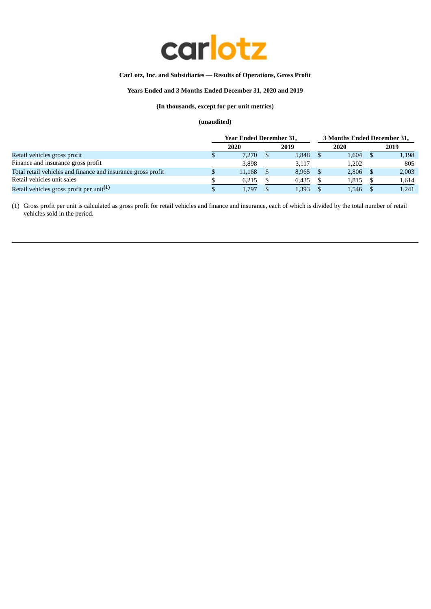

# **CarLotz, Inc. and Subsidiaries — Results of Operations, Gross Profit**

# **Years Ended and 3 Months Ended December 31, 2020 and 2019**

# **(In thousands, except for per unit metrics)**

# **(unaudited)**

|                                                              | <b>Year Ended December 31,</b> |  |       | 3 Months Ended December 31, |       |  |       |  |
|--------------------------------------------------------------|--------------------------------|--|-------|-----------------------------|-------|--|-------|--|
|                                                              | 2020                           |  | 2019  |                             | 2020  |  | 2019  |  |
| Retail vehicles gross profit                                 | 7.270                          |  | 5,848 |                             | 1,604 |  | 1,198 |  |
| Finance and insurance gross profit                           | 3.898                          |  | 3.117 |                             | 1.202 |  | 805   |  |
| Total retail vehicles and finance and insurance gross profit | 11,168                         |  | 8,965 |                             | 2,806 |  | 2,003 |  |
| Retail vehicles unit sales                                   | 6.215                          |  | 6.435 |                             | 1,815 |  | 1,614 |  |
| Retail vehicles gross profit per unit <sup>(1)</sup>         | 1.797                          |  | 1,393 |                             | 1.546 |  | 1.241 |  |

(1) Gross profit per unit is calculated as gross profit for retail vehicles and finance and insurance, each of which is divided by the total number of retail vehicles sold in the period.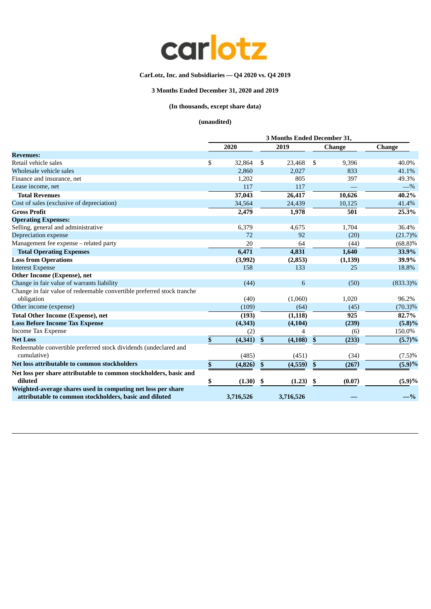

# **CarLotz, Inc. and Subsidiaries — Q4 2020 vs. Q4 2019**

# **3 Months Ended December 31, 2020 and 2019**

# **(In thousands, except share data)**

|                                                                                                                        | 3 Months Ended December 31, |           |                           |           |                           |               |                      |  |  |
|------------------------------------------------------------------------------------------------------------------------|-----------------------------|-----------|---------------------------|-----------|---------------------------|---------------|----------------------|--|--|
|                                                                                                                        |                             | 2020      |                           | 2019      |                           | <b>Change</b> | <b>Change</b>        |  |  |
| <b>Revenues:</b>                                                                                                       |                             |           |                           |           |                           |               |                      |  |  |
| Retail vehicle sales                                                                                                   | \$                          | 32,864    | - \$                      | 23,468    | \$                        | 9,396         | 40.0%                |  |  |
| Wholesale vehicle sales                                                                                                |                             | 2,860     |                           | 2,027     |                           | 833           | 41.1%                |  |  |
| Finance and insurance, net                                                                                             |                             | 1,202     |                           | 805       |                           | 397           | 49.3%                |  |  |
| Lease income, net                                                                                                      |                             | 117       |                           | 117       |                           |               | $-$ %                |  |  |
| <b>Total Revenues</b>                                                                                                  |                             | 37,043    |                           | 26,417    |                           | 10,626        | 40.2%                |  |  |
| Cost of sales (exclusive of depreciation)                                                                              |                             | 34,564    |                           | 24,439    |                           | 10,125        | 41.4%                |  |  |
| <b>Gross Profit</b>                                                                                                    |                             | 2,479     |                           | 1,978     |                           | 501           | 25.3%                |  |  |
| <b>Operating Expenses:</b>                                                                                             |                             |           |                           |           |                           |               |                      |  |  |
| Selling, general and administrative                                                                                    |                             | 6,379     |                           | 4,675     |                           | 1,704         | 36.4%                |  |  |
| Depreciation expense                                                                                                   |                             | 72        |                           | 92        |                           | (20)          | $(21.7)\%$           |  |  |
| Management fee expense - related party                                                                                 |                             | 20        |                           | 64        |                           | (44)          | (68.8)%              |  |  |
| <b>Total Operating Expenses</b>                                                                                        |                             | 6,471     |                           | 4,831     |                           | 1,640         | 33.9%                |  |  |
| <b>Loss from Operations</b>                                                                                            |                             | (3,992)   |                           | (2, 853)  |                           | (1, 139)      | 39.9%                |  |  |
| <b>Interest Expense</b>                                                                                                |                             | 158       |                           | 133       |                           | 25            | 18.8%                |  |  |
| Other Income (Expense), net                                                                                            |                             |           |                           |           |                           |               |                      |  |  |
| Change in fair value of warrants liability                                                                             |                             | (44)      |                           | 6         |                           | (50)          | $(833.3)\%$          |  |  |
| Change in fair value of redeemable convertible preferred stock tranche                                                 |                             |           |                           |           |                           |               |                      |  |  |
| obligation                                                                                                             |                             | (40)      |                           | (1,060)   |                           | 1,020         | 96.2%                |  |  |
| Other income (expense)                                                                                                 |                             | (109)     |                           | (64)      |                           | (45)          | $(70.3)\%$           |  |  |
| <b>Total Other Income (Expense), net</b>                                                                               |                             | (193)     |                           | (1, 118)  |                           | 925           | 82.7%                |  |  |
| <b>Loss Before Income Tax Expense</b>                                                                                  |                             | (4, 343)  |                           | (4, 104)  |                           | (239)         | $(5.8)\%$            |  |  |
| <b>Income Tax Expense</b>                                                                                              |                             | (2)       |                           |           |                           | (6)           | 150.0%               |  |  |
| <b>Net Loss</b>                                                                                                        | $\pmb{\mathbb{S}}$          | (4,341)   | \$                        | (4, 108)  | $\boldsymbol{\mathsf{s}}$ | (233)         | $\overline{(5.7)}\%$ |  |  |
| Redeemable convertible preferred stock dividends (undeclared and<br>cumulative)                                        |                             | (485)     |                           | (451)     |                           | (34)          | $(7.5)\%$            |  |  |
| Net loss attributable to common stockholders                                                                           | $\sqrt{\frac{2}{3}}$        | (4,826)   | $\boldsymbol{\mathsf{S}}$ | (4,559)   | $\boldsymbol{\mathsf{s}}$ | (267)         | (5.9)%               |  |  |
|                                                                                                                        |                             |           |                           |           |                           |               |                      |  |  |
| Net loss per share attributable to common stockholders, basic and<br>diluted                                           | \$                          | (1.30)    | - \$                      | (1.23)    | \$                        | (0.07)        | (5.9)%               |  |  |
| Weighted-average shares used in computing net loss per share<br>attributable to common stockholders, basic and diluted |                             | 3,716,526 |                           | 3,716,526 |                           |               | $-$ %                |  |  |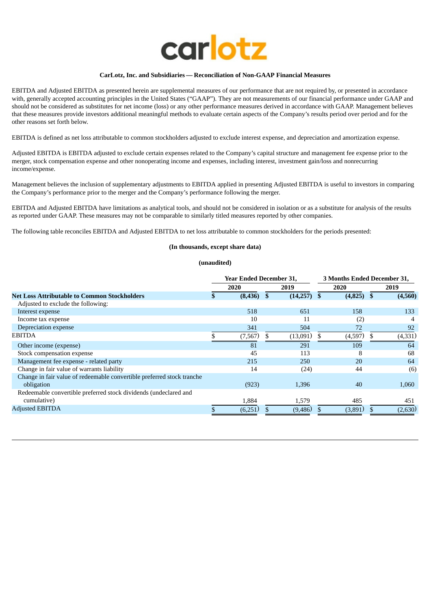

## **CarLotz, Inc. and Subsidiaries — Reconciliation of Non-GAAP Financial Measures**

EBITDA and Adjusted EBITDA as presented herein are supplemental measures of our performance that are not required by, or presented in accordance with, generally accepted accounting principles in the United States ("GAAP"). They are not measurements of our financial performance under GAAP and should not be considered as substitutes for net income (loss) or any other performance measures derived in accordance with GAAP. Management believes that these measures provide investors additional meaningful methods to evaluate certain aspects of the Company's results period over period and for the other reasons set forth below.

EBITDA is defined as net loss attributable to common stockholders adjusted to exclude interest expense, and depreciation and amortization expense.

Adjusted EBITDA is EBITDA adjusted to exclude certain expenses related to the Company's capital structure and management fee expense prior to the merger, stock compensation expense and other nonoperating income and expenses, including interest, investment gain/loss and nonrecurring income/expense.

Management believes the inclusion of supplementary adjustments to EBITDA applied in presenting Adjusted EBITDA is useful to investors in comparing the Company's performance prior to the merger and the Company's performance following the merger.

EBITDA and Adjusted EBITDA have limitations as analytical tools, and should not be considered in isolation or as a substitute for analysis of the results as reported under GAAP. These measures may not be comparable to similarly titled measures reported by other companies.

The following table reconciles EBITDA and Adjusted EBITDA to net loss attributable to common stockholders for the periods presented:

## **(In thousands, except share data)**

|                                                                        | <b>Year Ended December 31,</b> |          |  |               | 3 Months Ended December 31, |     |          |
|------------------------------------------------------------------------|--------------------------------|----------|--|---------------|-----------------------------|-----|----------|
|                                                                        |                                | 2020     |  | 2019          | 2020                        |     | 2019     |
| <b>Net Loss Attributable to Common Stockholders</b>                    |                                | (8, 436) |  | $(14,257)$ \$ | $(4,825)$ \$                |     | (4,560)  |
| Adjusted to exclude the following:                                     |                                |          |  |               |                             |     |          |
| Interest expense                                                       |                                | 518      |  | 651           | 158                         |     | 133      |
| Income tax expense                                                     |                                | 10       |  | 11            | (2)                         |     |          |
| Depreciation expense                                                   |                                | 341      |  | 504           | 72                          |     | 92       |
| <b>EBITDA</b>                                                          |                                | (7, 567) |  | (13,091)      | (4,597)                     | \$. | (4, 331) |
| Other income (expense)                                                 |                                | 81       |  | 291           | 109                         |     | 64       |
| Stock compensation expense                                             |                                | 45       |  | 113           | 8                           |     | 68       |
| Management fee expense - related party                                 |                                | 215      |  | 250           | 20                          |     | 64       |
| Change in fair value of warrants liability                             |                                | 14       |  | (24)          | 44                          |     | (6)      |
| Change in fair value of redeemable convertible preferred stock tranche |                                |          |  |               |                             |     |          |
| obligation                                                             |                                | (923)    |  | 1,396         | 40                          |     | 1,060    |
| Redeemable convertible preferred stock dividends (undeclared and       |                                |          |  |               |                             |     |          |
| cumulative)                                                            |                                | 1,884    |  | 1,579         | 485                         |     | 451      |
| <b>Adjusted EBITDA</b>                                                 |                                | (6,251)  |  | (9,486)       | (3,891)                     |     | (2,630)  |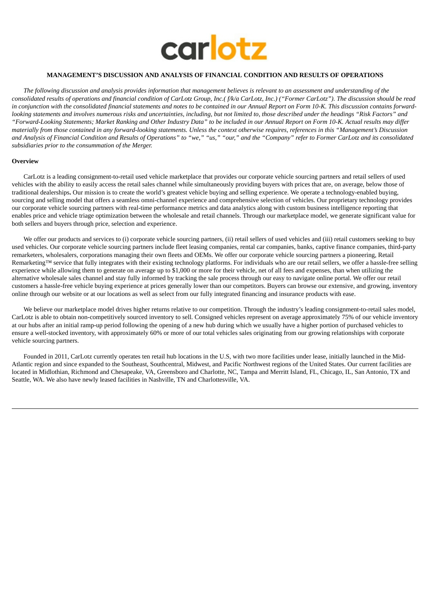

## **MANAGEMENT'S DISCUSSION AND ANALYSIS OF FINANCIAL CONDITION AND RESULTS OF OPERATIONS**

The following discussion and analysis provides information that management believes is relevant to an assessment and understanding of the consolidated results of operations and financial condition of CarLotz Group, Inc.(f/k/a CarLotz, Inc.) ("Former CarLotz"). The discussion should be read in conjunction with the consolidated financial statements and notes to be contained in our Annual Report on Form 10-K. This discussion contains forwardlooking statements and involves numerous risks and uncertainties, including, but not limited to, those described under the headings "Risk Factors" and "Forward-Looking Statements; Market Ranking and Other Industry Data" to be included in our Annual Report on Form 10-K. Actual results may differ materially from those contained in any forward-looking statements. Unless the context otherwise requires, references in this "Management's Discussion and Analysis of Financial Condition and Results of Operations" to "we," "us," "our," and the "Company" refer to Former CarLotz and its consolidated *subsidiaries prior to the consummation of the Merger.*

#### **Overview**

CarLotz is a leading consignment-to-retail used vehicle marketplace that provides our corporate vehicle sourcing partners and retail sellers of used vehicles with the ability to easily access the retail sales channel while simultaneously providing buyers with prices that are, on average, below those of traditional dealerships**.** Our mission is to create the world's greatest vehicle buying and selling experience. We operate a technology-enabled buying, sourcing and selling model that offers a seamless omni-channel experience and comprehensive selection of vehicles. Our proprietary technology provides our corporate vehicle sourcing partners with real-time performance metrics and data analytics along with custom business intelligence reporting that enables price and vehicle triage optimization between the wholesale and retail channels. Through our marketplace model, we generate significant value for both sellers and buyers through price, selection and experience.

We offer our products and services to (i) corporate vehicle sourcing partners, (ii) retail sellers of used vehicles and (iii) retail customers seeking to buy used vehicles. Our corporate vehicle sourcing partners include fleet leasing companies, rental car companies, banks, captive finance companies, third-party remarketers, wholesalers, corporations managing their own fleets and OEMs. We offer our corporate vehicle sourcing partners a pioneering, Retail Remarketing™ service that fully integrates with their existing technology platforms. For individuals who are our retail sellers, we offer a hassle-free selling experience while allowing them to generate on average up to \$1,000 or more for their vehicle, net of all fees and expenses, than when utilizing the alternative wholesale sales channel and stay fully informed by tracking the sale process through our easy to navigate online portal. We offer our retail customers a hassle-free vehicle buying experience at prices generally lower than our competitors. Buyers can browse our extensive, and growing, inventory online through our website or at our locations as well as select from our fully integrated financing and insurance products with ease.

We believe our marketplace model drives higher returns relative to our competition. Through the industry's leading consignment-to-retail sales model, CarLotz is able to obtain non-competitively sourced inventory to sell. Consigned vehicles represent on average approximately 75% of our vehicle inventory at our hubs after an initial ramp-up period following the opening of a new hub during which we usually have a higher portion of purchased vehicles to ensure a well-stocked inventory, with approximately 60% or more of our total vehicles sales originating from our growing relationships with corporate vehicle sourcing partners.

Founded in 2011, CarLotz currently operates ten retail hub locations in the U.S, with two more facilities under lease, initially launched in the Mid-Atlantic region and since expanded to the Southeast, Southcentral, Midwest, and Pacific Northwest regions of the United States. Our current facilities are located in Midlothian, Richmond and Chesapeake, VA, Greensboro and Charlotte, NC, Tampa and Merritt Island, FL, Chicago, IL, San Antonio, TX and Seattle, WA. We also have newly leased facilities in Nashville, TN and Charlottesville, VA.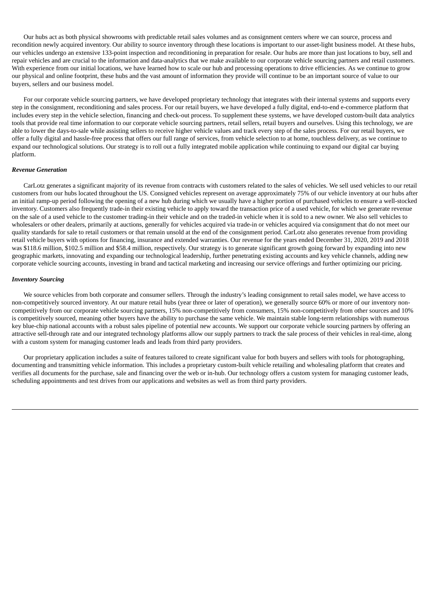Our hubs act as both physical showrooms with predictable retail sales volumes and as consignment centers where we can source, process and recondition newly acquired inventory. Our ability to source inventory through these locations is important to our asset-light business model. At these hubs, our vehicles undergo an extensive 133-point inspection and reconditioning in preparation for resale. Our hubs are more than just locations to buy, sell and repair vehicles and are crucial to the information and data-analytics that we make available to our corporate vehicle sourcing partners and retail customers. With experience from our initial locations, we have learned how to scale our hub and processing operations to drive efficiencies. As we continue to grow our physical and online footprint, these hubs and the vast amount of information they provide will continue to be an important source of value to our buyers, sellers and our business model.

For our corporate vehicle sourcing partners, we have developed proprietary technology that integrates with their internal systems and supports every step in the consignment, reconditioning and sales process. For our retail buyers, we have developed a fully digital, end-to-end e-commerce platform that includes every step in the vehicle selection, financing and check-out process. To supplement these systems, we have developed custom-built data analytics tools that provide real time information to our corporate vehicle sourcing partners, retail sellers, retail buyers and ourselves. Using this technology, we are able to lower the days-to-sale while assisting sellers to receive higher vehicle values and track every step of the sales process. For our retail buyers, we offer a fully digital and hassle-free process that offers our full range of services, from vehicle selection to at home, touchless delivery, as we continue to expand our technological solutions. Our strategy is to roll out a fully integrated mobile application while continuing to expand our digital car buying platform.

## *Revenue Generation*

CarLotz generates a significant majority of its revenue from contracts with customers related to the sales of vehicles. We sell used vehicles to our retail customers from our hubs located throughout the US. Consigned vehicles represent on average approximately 75% of our vehicle inventory at our hubs after an initial ramp-up period following the opening of a new hub during which we usually have a higher portion of purchased vehicles to ensure a well-stocked inventory. Customers also frequently trade-in their existing vehicle to apply toward the transaction price of a used vehicle, for which we generate revenue on the sale of a used vehicle to the customer trading-in their vehicle and on the traded-in vehicle when it is sold to a new owner. We also sell vehicles to wholesalers or other dealers, primarily at auctions, generally for vehicles acquired via trade-in or vehicles acquired via consignment that do not meet our quality standards for sale to retail customers or that remain unsold at the end of the consignment period. CarLotz also generates revenue from providing retail vehicle buyers with options for financing, insurance and extended warranties. Our revenue for the years ended December 31, 2020, 2019 and 2018 was \$118.6 million, \$102.5 million and \$58.4 million, respectively. Our strategy is to generate significant growth going forward by expanding into new geographic markets, innovating and expanding our technological leadership, further penetrating existing accounts and key vehicle channels, adding new corporate vehicle sourcing accounts, investing in brand and tactical marketing and increasing our service offerings and further optimizing our pricing.

#### *Inventory Sourcing*

We source vehicles from both corporate and consumer sellers. Through the industry's leading consignment to retail sales model, we have access to non-competitively sourced inventory. At our mature retail hubs (year three or later of operation), we generally source 60% or more of our inventory noncompetitively from our corporate vehicle sourcing partners, 15% non-competitively from consumers, 15% non-competitively from other sources and 10% is competitively sourced, meaning other buyers have the ability to purchase the same vehicle. We maintain stable long-term relationships with numerous key blue-chip national accounts with a robust sales pipeline of potential new accounts. We support our corporate vehicle sourcing partners by offering an attractive sell-through rate and our integrated technology platforms allow our supply partners to track the sale process of their vehicles in real-time, along with a custom system for managing customer leads and leads from third party providers.

Our proprietary application includes a suite of features tailored to create significant value for both buyers and sellers with tools for photographing, documenting and transmitting vehicle information. This includes a proprietary custom-built vehicle retailing and wholesaling platform that creates and verifies all documents for the purchase, sale and financing over the web or in-hub. Our technology offers a custom system for managing customer leads, scheduling appointments and test drives from our applications and websites as well as from third party providers.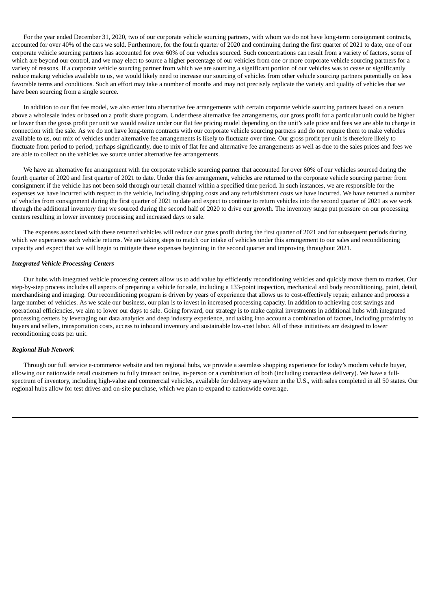For the year ended December 31, 2020, two of our corporate vehicle sourcing partners, with whom we do not have long-term consignment contracts, accounted for over 40% of the cars we sold. Furthermore, for the fourth quarter of 2020 and continuing during the first quarter of 2021 to date, one of our corporate vehicle sourcing partners has accounted for over 60% of our vehicles sourced. Such concentrations can result from a variety of factors, some of which are beyond our control, and we may elect to source a higher percentage of our vehicles from one or more corporate vehicle sourcing partners for a variety of reasons. If a corporate vehicle sourcing partner from which we are sourcing a significant portion of our vehicles was to cease or significantly reduce making vehicles available to us, we would likely need to increase our sourcing of vehicles from other vehicle sourcing partners potentially on less favorable terms and conditions. Such an effort may take a number of months and may not precisely replicate the variety and quality of vehicles that we have been sourcing from a single source.

In addition to our flat fee model, we also enter into alternative fee arrangements with certain corporate vehicle sourcing partners based on a return above a wholesale index or based on a profit share program. Under these alternative fee arrangements, our gross profit for a particular unit could be higher or lower than the gross profit per unit we would realize under our flat fee pricing model depending on the unit's sale price and fees we are able to charge in connection with the sale. As we do not have long-term contracts with our corporate vehicle sourcing partners and do not require them to make vehicles available to us, our mix of vehicles under alternative fee arrangements is likely to fluctuate over time. Our gross profit per unit is therefore likely to fluctuate from period to period, perhaps significantly, due to mix of flat fee and alternative fee arrangements as well as due to the sales prices and fees we are able to collect on the vehicles we source under alternative fee arrangements.

We have an alternative fee arrangement with the corporate vehicle sourcing partner that accounted for over 60% of our vehicles sourced during the fourth quarter of 2020 and first quarter of 2021 to date. Under this fee arrangement, vehicles are returned to the corporate vehicle sourcing partner from consignment if the vehicle has not been sold through our retail channel within a specified time period. In such instances, we are responsible for the expenses we have incurred with respect to the vehicle, including shipping costs and any refurbishment costs we have incurred. We have returned a number of vehicles from consignment during the first quarter of 2021 to date and expect to continue to return vehicles into the second quarter of 2021 as we work through the additional inventory that we sourced during the second half of 2020 to drive our growth. The inventory surge put pressure on our processing centers resulting in lower inventory processing and increased days to sale.

The expenses associated with these returned vehicles will reduce our gross profit during the first quarter of 2021 and for subsequent periods during which we experience such vehicle returns. We are taking steps to match our intake of vehicles under this arrangement to our sales and reconditioning capacity and expect that we will begin to mitigate these expenses beginning in the second quarter and improving throughout 2021.

#### *Integrated Vehicle Processing Centers*

Our hubs with integrated vehicle processing centers allow us to add value by efficiently reconditioning vehicles and quickly move them to market. Our step-by-step process includes all aspects of preparing a vehicle for sale, including a 133-point inspection, mechanical and body reconditioning, paint, detail, merchandising and imaging. Our reconditioning program is driven by years of experience that allows us to cost-effectively repair, enhance and process a large number of vehicles. As we scale our business, our plan is to invest in increased processing capacity. In addition to achieving cost savings and operational efficiencies, we aim to lower our days to sale. Going forward, our strategy is to make capital investments in additional hubs with integrated processing centers by leveraging our data analytics and deep industry experience, and taking into account a combination of factors, including proximity to buyers and sellers, transportation costs, access to inbound inventory and sustainable low-cost labor. All of these initiatives are designed to lower reconditioning costs per unit.

#### *Regional Hub Network*

Through our full service e-commerce website and ten regional hubs, we provide a seamless shopping experience for today's modern vehicle buyer, allowing our nationwide retail customers to fully transact online, in-person or a combination of both (including contactless delivery). We have a fullspectrum of inventory, including high-value and commercial vehicles, available for delivery anywhere in the U.S., with sales completed in all 50 states. Our regional hubs allow for test drives and on-site purchase, which we plan to expand to nationwide coverage.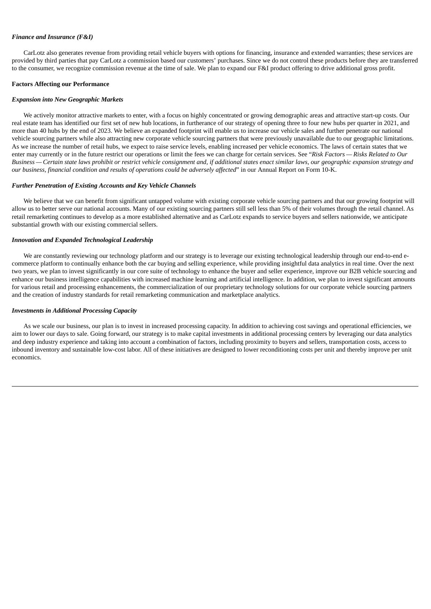## *Finance and Insurance (F&I)*

CarLotz also generates revenue from providing retail vehicle buyers with options for financing, insurance and extended warranties; these services are provided by third parties that pay CarLotz a commission based our customers' purchases. Since we do not control these products before they are transferred to the consumer, we recognize commission revenue at the time of sale. We plan to expand our F&I product offering to drive additional gross profit.

#### **Factors Affecting our Performance**

#### *Expansion into New Geographic Markets*

We actively monitor attractive markets to enter, with a focus on highly concentrated or growing demographic areas and attractive start-up costs. Our real estate team has identified our first set of new hub locations, in furtherance of our strategy of opening three to four new hubs per quarter in 2021, and more than 40 hubs by the end of 2023. We believe an expanded footprint will enable us to increase our vehicle sales and further penetrate our national vehicle sourcing partners while also attracting new corporate vehicle sourcing partners that were previously unavailable due to our geographic limitations. As we increase the number of retail hubs, we expect to raise service levels, enabling increased per vehicle economics. The laws of certain states that we enter may currently or in the future restrict our operations or limit the fees we can charge for certain services. See "*Risk Factors — Risks Related to Our* Business - Certain state laws prohibit or restrict vehicle consignment and, if additional states enact similar laws, our geographic expansion strategy and *our business, financial condition and results of operations could be adversely affected*" in our Annual Report on Form 10-K.

#### *Further Penetration of Existing Accounts and Key Vehicle Channels*

We believe that we can benefit from significant untapped volume with existing corporate vehicle sourcing partners and that our growing footprint will allow us to better serve our national accounts. Many of our existing sourcing partners still sell less than 5% of their volumes through the retail channel. As retail remarketing continues to develop as a more established alternative and as CarLotz expands to service buyers and sellers nationwide, we anticipate substantial growth with our existing commercial sellers.

## *Innovation and Expanded Technological Leadership*

We are constantly reviewing our technology platform and our strategy is to leverage our existing technological leadership through our end-to-end ecommerce platform to continually enhance both the car buying and selling experience, while providing insightful data analytics in real time. Over the next two years, we plan to invest significantly in our core suite of technology to enhance the buyer and seller experience, improve our B2B vehicle sourcing and enhance our business intelligence capabilities with increased machine learning and artificial intelligence. In addition, we plan to invest significant amounts for various retail and processing enhancements, the commercialization of our proprietary technology solutions for our corporate vehicle sourcing partners and the creation of industry standards for retail remarketing communication and marketplace analytics.

#### *Investments in Additional Processing Capacity*

As we scale our business, our plan is to invest in increased processing capacity. In addition to achieving cost savings and operational efficiencies, we aim to lower our days to sale. Going forward, our strategy is to make capital investments in additional processing centers by leveraging our data analytics and deep industry experience and taking into account a combination of factors, including proximity to buyers and sellers, transportation costs, access to inbound inventory and sustainable low-cost labor. All of these initiatives are designed to lower reconditioning costs per unit and thereby improve per unit economics.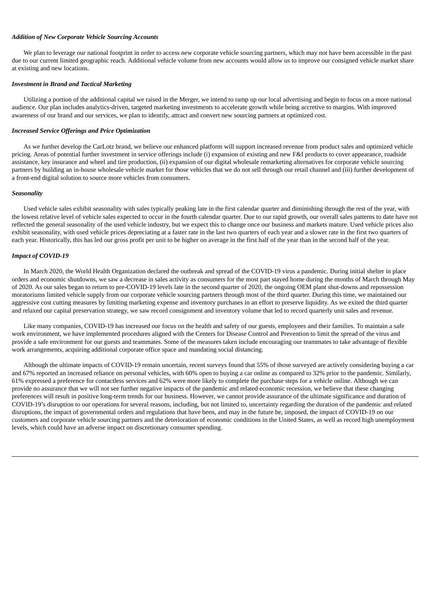## *Addition of New Corporate Vehicle Sourcing Accounts*

We plan to leverage our national footprint in order to access new corporate vehicle sourcing partners, which may not have been accessible in the past due to our current limited geographic reach. Additional vehicle volume from new accounts would allow us to improve our consigned vehicle market share at existing and new locations.

#### *Investment in Brand and Tactical Marketing*

Utilizing a portion of the additional capital we raised in the Merger, we intend to ramp up our local advertising and begin to focus on a more national audience. Our plan includes analytics-driven, targeted marketing investments to accelerate growth while being accretive to margins. With improved awareness of our brand and our services, we plan to identify, attract and convert new sourcing partners at optimized cost.

#### *Increased Service Offerings and Price Optimization*

As we further develop the CarLotz brand, we believe our enhanced platform will support increased revenue from product sales and optimized vehicle pricing. Areas of potential further investment in service offerings include (i) expansion of existing and new F&I products to cover appearance, roadside assistance, key insurance and wheel and tire production, (ii) expansion of our digital wholesale remarketing alternatives for corporate vehicle sourcing partners by building an in-house wholesale vehicle market for those vehicles that we do not sell through our retail channel and (iii) further development of a front-end digital solution to source more vehicles from consumers.

#### *Seasonality*

Used vehicle sales exhibit seasonality with sales typically peaking late in the first calendar quarter and diminishing through the rest of the year, with the lowest relative level of vehicle sales expected to occur in the fourth calendar quarter. Due to our rapid growth, our overall sales patterns to date have not reflected the general seasonality of the used vehicle industry, but we expect this to change once our business and markets mature. Used vehicle prices also exhibit seasonality, with used vehicle prices depreciating at a faster rate in the last two quarters of each year and a slower rate in the first two quarters of each year. Historically, this has led our gross profit per unit to be higher on average in the first half of the year than in the second half of the year.

## *Impact of COVID-19*

In March 2020, the World Health Organization declared the outbreak and spread of the COVID-19 virus a pandemic. During initial shelter in place orders and economic shutdowns, we saw a decrease in sales activity as consumers for the most part stayed home during the months of March through May of 2020. As our sales began to return to pre-COVID-19 levels late in the second quarter of 2020, the ongoing OEM plant shut-downs and repossession moratoriums limited vehicle supply from our corporate vehicle sourcing partners through most of the third quarter. During this time, we maintained our aggressive cost cutting measures by limiting marketing expense and inventory purchases in an effort to preserve liquidity. As we exited the third quarter and relaxed our capital preservation strategy, we saw record consignment and inventory volume that led to record quarterly unit sales and revenue.

Like many companies, COVID-19 has increased our focus on the health and safety of our guests, employees and their families. To maintain a safe work environment, we have implemented procedures aligned with the Centers for Disease Control and Prevention to limit the spread of the virus and provide a safe environment for our guests and teammates. Some of the measures taken include encouraging our teammates to take advantage of flexible work arrangements, acquiring additional corporate office space and mandating social distancing.

Although the ultimate impacts of COVID-19 remain uncertain, recent surveys found that 55% of those surveyed are actively considering buying a car and 67% reported an increased reliance on personal vehicles, with 60% open to buying a car online as compared to 32% prior to the pandemic. Similarly, 61% expressed a preference for contactless services and 62% were more likely to complete the purchase steps for a vehicle online. Although we can provide no assurance that we will not see further negative impacts of the pandemic and related economic recession, we believe that these changing preferences will result in positive long-term trends for our business. However, we cannot provide assurance of the ultimate significance and duration of COVID-19's disruption to our operations for several reasons, including, but not limited to, uncertainty regarding the duration of the pandemic and related disruptions, the impact of governmental orders and regulations that have been, and may in the future be, imposed, the impact of COVID-19 on our customers and corporate vehicle sourcing partners and the deterioration of economic conditions in the United States, as well as record high unemployment levels, which could have an adverse impact on discretionary consumer spending.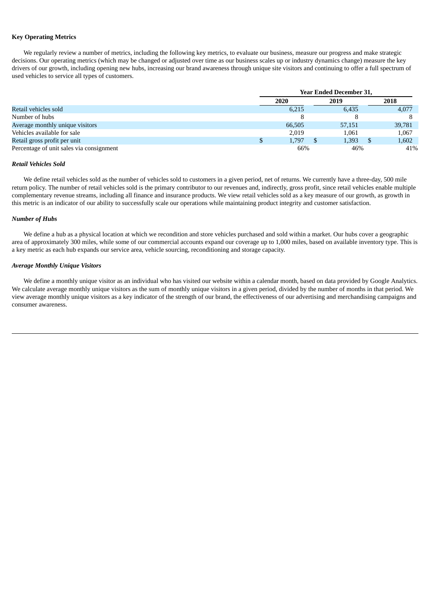## **Key Operating Metrics**

We regularly review a number of metrics, including the following key metrics, to evaluate our business, measure our progress and make strategic decisions. Our operating metrics (which may be changed or adjusted over time as our business scales up or industry dynamics change) measure the key drivers of our growth, including opening new hubs, increasing our brand awareness through unique site visitors and continuing to offer a full spectrum of used vehicles to service all types of customers.

|                                          |      | <b>Year Ended December 31,</b> |  |        |  |        |  |
|------------------------------------------|------|--------------------------------|--|--------|--|--------|--|
|                                          | 2020 |                                |  | 2019   |  | 2018   |  |
| Retail vehicles sold                     |      | 6,215                          |  | 6,435  |  | 4,077  |  |
| Number of hubs                           |      |                                |  |        |  |        |  |
| Average monthly unique visitors          |      | 66,505                         |  | 57,151 |  | 39,781 |  |
| Vehicles available for sale              |      | 2.019                          |  | 1.061  |  | 1,067  |  |
| Retail gross profit per unit             |      | 1.797                          |  | 1,393  |  | 1,602  |  |
| Percentage of unit sales via consignment |      | 66%                            |  | 46%    |  | 41%    |  |

#### *Retail Vehicles Sold*

We define retail vehicles sold as the number of vehicles sold to customers in a given period, net of returns. We currently have a three-day, 500 mile return policy. The number of retail vehicles sold is the primary contributor to our revenues and, indirectly, gross profit, since retail vehicles enable multiple complementary revenue streams, including all finance and insurance products. We view retail vehicles sold as a key measure of our growth, as growth in this metric is an indicator of our ability to successfully scale our operations while maintaining product integrity and customer satisfaction.

#### *Number of Hubs*

We define a hub as a physical location at which we recondition and store vehicles purchased and sold within a market. Our hubs cover a geographic area of approximately 300 miles, while some of our commercial accounts expand our coverage up to 1,000 miles, based on available inventory type. This is a key metric as each hub expands our service area, vehicle sourcing, reconditioning and storage capacity.

## *Average Monthly Unique Visitors*

We define a monthly unique visitor as an individual who has visited our website within a calendar month, based on data provided by Google Analytics. We calculate average monthly unique visitors as the sum of monthly unique visitors in a given period, divided by the number of months in that period. We view average monthly unique visitors as a key indicator of the strength of our brand, the effectiveness of our advertising and merchandising campaigns and consumer awareness.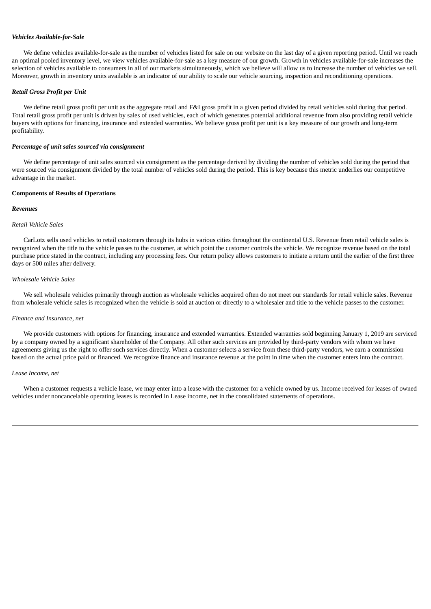## *Vehicles Available-for-Sale*

We define vehicles available-for-sale as the number of vehicles listed for sale on our website on the last day of a given reporting period. Until we reach an optimal pooled inventory level, we view vehicles available-for-sale as a key measure of our growth. Growth in vehicles available-for-sale increases the selection of vehicles available to consumers in all of our markets simultaneously, which we believe will allow us to increase the number of vehicles we sell. Moreover, growth in inventory units available is an indicator of our ability to scale our vehicle sourcing, inspection and reconditioning operations.

## *Retail Gross Profit per Unit*

We define retail gross profit per unit as the aggregate retail and F&I gross profit in a given period divided by retail vehicles sold during that period. Total retail gross profit per unit is driven by sales of used vehicles, each of which generates potential additional revenue from also providing retail vehicle buyers with options for financing, insurance and extended warranties. We believe gross profit per unit is a key measure of our growth and long-term profitability.

#### *Percentage of unit sales sourced via consignment*

We define percentage of unit sales sourced via consignment as the percentage derived by dividing the number of vehicles sold during the period that were sourced via consignment divided by the total number of vehicles sold during the period. This is key because this metric underlies our competitive advantage in the market.

## **Components of Results of Operations**

### *Revenues*

#### *Retail Vehicle Sales*

CarLotz sells used vehicles to retail customers through its hubs in various cities throughout the continental U.S. Revenue from retail vehicle sales is recognized when the title to the vehicle passes to the customer, at which point the customer controls the vehicle. We recognize revenue based on the total purchase price stated in the contract, including any processing fees. Our return policy allows customers to initiate a return until the earlier of the first three days or 500 miles after delivery.

#### *Wholesale Vehicle Sales*

We sell wholesale vehicles primarily through auction as wholesale vehicles acquired often do not meet our standards for retail vehicle sales. Revenue from wholesale vehicle sales is recognized when the vehicle is sold at auction or directly to a wholesaler and title to the vehicle passes to the customer.

#### *Finance and Insurance, net*

We provide customers with options for financing, insurance and extended warranties. Extended warranties sold beginning January 1, 2019 are serviced by a company owned by a significant shareholder of the Company. All other such services are provided by third-party vendors with whom we have agreements giving us the right to offer such services directly. When a customer selects a service from these third-party vendors, we earn a commission based on the actual price paid or financed. We recognize finance and insurance revenue at the point in time when the customer enters into the contract.

#### *Lease Income, net*

When a customer requests a vehicle lease, we may enter into a lease with the customer for a vehicle owned by us. Income received for leases of owned vehicles under noncancelable operating leases is recorded in Lease income, net in the consolidated statements of operations.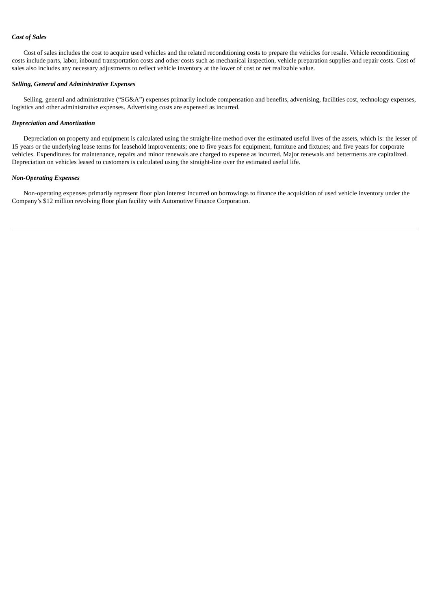# *Cost of Sales*

Cost of sales includes the cost to acquire used vehicles and the related reconditioning costs to prepare the vehicles for resale. Vehicle reconditioning costs include parts, labor, inbound transportation costs and other costs such as mechanical inspection, vehicle preparation supplies and repair costs. Cost of sales also includes any necessary adjustments to reflect vehicle inventory at the lower of cost or net realizable value.

## *Selling, General and Administrative Expenses*

Selling, general and administrative ("SG&A") expenses primarily include compensation and benefits, advertising, facilities cost, technology expenses, logistics and other administrative expenses. Advertising costs are expensed as incurred.

#### *Depreciation and Amortization*

Depreciation on property and equipment is calculated using the straight-line method over the estimated useful lives of the assets, which is: the lesser of 15 years or the underlying lease terms for leasehold improvements; one to five years for equipment, furniture and fixtures; and five years for corporate vehicles. Expenditures for maintenance, repairs and minor renewals are charged to expense as incurred. Major renewals and betterments are capitalized. Depreciation on vehicles leased to customers is calculated using the straight-line over the estimated useful life.

# *Non-Operating Expenses*

Non-operating expenses primarily represent floor plan interest incurred on borrowings to finance the acquisition of used vehicle inventory under the Company's \$12 million revolving floor plan facility with Automotive Finance Corporation.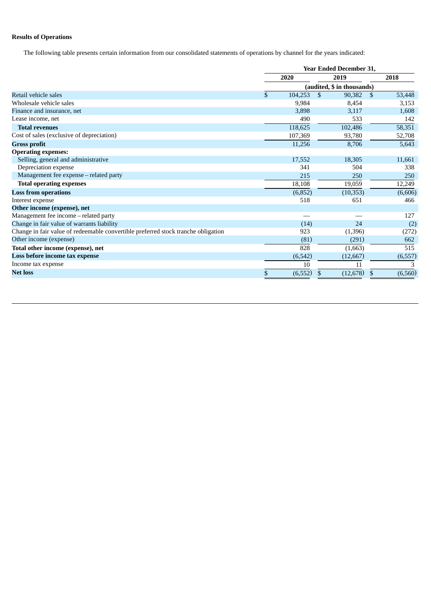# **Results of Operations**

The following table presents certain information from our consolidated statements of operations by channel for the years indicated:

|                                                                                   |                | <b>Year Ended December 31,</b> |              |          |
|-----------------------------------------------------------------------------------|----------------|--------------------------------|--------------|----------|
|                                                                                   | 2020           | 2019                           |              | 2018     |
|                                                                                   |                | (audited, \$ in thousands)     |              |          |
| Retail vehicle sales                                                              | \$<br>104,253  | $\mathcal{S}$<br>90,382        | <sup>S</sup> | 53,448   |
| Wholesale vehicle sales                                                           | 9,984          | 8,454                          |              | 3,153    |
| Finance and insurance, net                                                        | 3,898          | 3,117                          |              | 1,608    |
| Lease income, net                                                                 | 490            | 533                            |              | 142      |
| <b>Total revenues</b>                                                             | 118,625        | 102,486                        |              | 58,351   |
| Cost of sales (exclusive of depreciation)                                         | 107,369        | 93,780                         |              | 52,708   |
| <b>Gross profit</b>                                                               | 11,256         | 8,706                          |              | 5,643    |
| <b>Operating expenses:</b>                                                        |                |                                |              |          |
| Selling, general and administrative                                               | 17,552         | 18,305                         |              | 11,661   |
| Depreciation expense                                                              | 341            | 504                            |              | 338      |
| Management fee expense - related party                                            | 215            | 250                            |              | 250      |
| <b>Total operating expenses</b>                                                   | 18,108         | 19,059                         |              | 12,249   |
| <b>Loss from operations</b>                                                       | (6,852)        | (10, 353)                      |              | (6,606)  |
| Interest expense                                                                  | 518            | 651                            |              | 466      |
| Other income (expense), net                                                       |                |                                |              |          |
| Management fee income - related party                                             |                |                                |              | 127      |
| Change in fair value of warrants liability                                        | (14)           | 24                             |              | (2)      |
| Change in fair value of redeemable convertible preferred stock tranche obligation | 923            | (1,396)                        |              | (272)    |
| Other income (expense)                                                            | (81)           | (291)                          |              | 662      |
| Total other income (expense), net                                                 | 828            | (1,663)                        |              | 515      |
| Loss before income tax expense                                                    | (6, 542)       | (12, 667)                      |              | (6, 557) |
| Income tax expense                                                                | 10             | 11                             |              | 3        |
| <b>Net loss</b>                                                                   | \$<br>(6, 552) | (12, 678)                      | £.           | (6, 560) |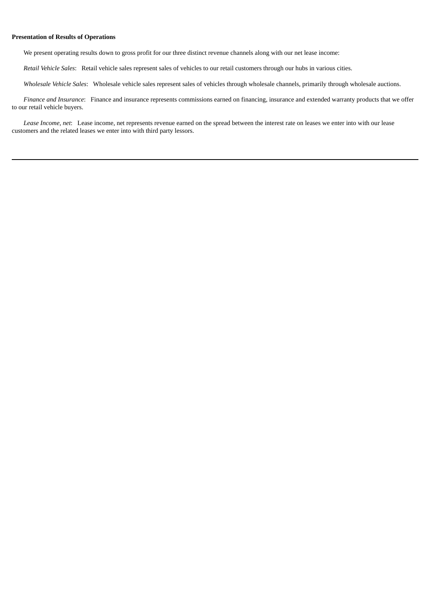## **Presentation of Results of Operations**

We present operating results down to gross profit for our three distinct revenue channels along with our net lease income:

*Retail Vehicle Sales*: Retail vehicle sales represent sales of vehicles to our retail customers through our hubs in various cities.

*Wholesale Vehicle Sales*: Wholesale vehicle sales represent sales of vehicles through wholesale channels, primarily through wholesale auctions.

*Finance and Insurance*: Finance and insurance represents commissions earned on financing, insurance and extended warranty products that we offer to our retail vehicle buyers.

*Lease Income, net*: Lease income, net represents revenue earned on the spread between the interest rate on leases we enter into with our lease customers and the related leases we enter into with third party lessors.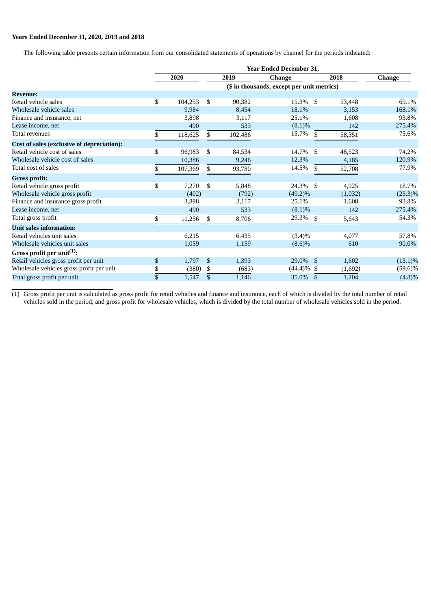# **Years Ended December 31, 2020, 2019 and 2018**

The following table presents certain information from our consolidated statements of operations by channel for the periods indicated:

|                                                   | Year Ended December 31, |         |      |         |                                            |                |         |               |  |  |  |
|---------------------------------------------------|-------------------------|---------|------|---------|--------------------------------------------|----------------|---------|---------------|--|--|--|
|                                                   | 2020                    |         | 2019 |         | <b>Change</b>                              | 2018           |         | <b>Change</b> |  |  |  |
|                                                   |                         |         |      |         | (\$ in thousands, except per unit metrics) |                |         |               |  |  |  |
| <b>Revenue:</b>                                   |                         |         |      |         |                                            |                |         |               |  |  |  |
| Retail vehicle sales                              | \$                      | 104,253 | \$   | 90,382  | 15.3% \$                                   |                | 53,448  | 69.1%         |  |  |  |
| Wholesale vehicle sales                           |                         | 9,984   |      | 8,454   | 18.1%                                      |                | 3,153   | 168.1%        |  |  |  |
| Finance and insurance, net                        |                         | 3,898   |      | 3,117   | 25.1%                                      |                | 1,608   | 93.8%         |  |  |  |
| Lease income, net                                 |                         | 490     |      | 533     | (8.1)%                                     |                | 142     | 275.4%        |  |  |  |
| Total revenues                                    | \$                      | 118,625 | \$   | 102,486 | 15.7%                                      | $\mathfrak{F}$ | 58,351  | 75.6%         |  |  |  |
| <b>Cost of sales (exclusive of depreciation):</b> |                         |         |      |         |                                            |                |         |               |  |  |  |
| Retail vehicle cost of sales                      | \$                      | 96,983  | \$   | 84,534  | 14.7%                                      | - \$           | 48,523  | 74.2%         |  |  |  |
| Wholesale vehicle cost of sales                   |                         | 10,386  |      | 9,246   | 12.3%                                      |                | 4,185   | 120.9%        |  |  |  |
| Total cost of sales                               | \$                      | 107,369 | \$   | 93,780  | 14.5%                                      | \$.            | 52,708  | 77.9%         |  |  |  |
| <b>Gross profit:</b>                              |                         |         |      |         |                                            |                |         |               |  |  |  |
| Retail vehicle gross profit                       | \$                      | 7,270   | \$   | 5,848   | 24.3% \$                                   |                | 4,925   | 18.7%         |  |  |  |
| Wholesale vehicle gross profit                    |                         | (402)   |      | (792)   | $(49.2)\%$                                 |                | (1,032) | $(23.3)\%$    |  |  |  |
| Finance and insurance gross profit                |                         | 3,898   |      | 3,117   | 25.1%                                      |                | 1,608   | 93.8%         |  |  |  |
| Lease income, net                                 |                         | 490     |      | 533     | (8.1)%                                     |                | 142     | 275.4%        |  |  |  |
| Total gross profit                                | \$                      | 11,256  | \$   | 8,706   | 29.3%                                      | \$             | 5,643   | 54.3%         |  |  |  |
| <b>Unit sales information:</b>                    |                         |         |      |         |                                            |                |         |               |  |  |  |
| Retail vehicles unit sales                        |                         | 6,215   |      | 6,435   | $(3.4)\%$                                  |                | 4,077   | 57.8%         |  |  |  |
| Wholesale vehicles unit sales                     |                         | 1,059   |      | 1,159   | $(8.6)\%$                                  |                | 610     | 90.0%         |  |  |  |
| Gross profit per unit <sup>(1)</sup> :            |                         |         |      |         |                                            |                |         |               |  |  |  |
| Retail vehicles gross profit per unit             | \$                      | 1,797   | \$   | 1,393   | 29.0% \$                                   |                | 1,602   | $(13.1)\%$    |  |  |  |
| Wholesale vehicles gross profit per unit          | \$                      | (380)   | \$   | (683)   | $(44.4)\%$ \$                              |                | (1,692) | $(59.6)\%$    |  |  |  |
| Total gross profit per unit                       | \$                      | 1,547   | \$   | 1,146   | 35.0% \$                                   |                | 1,204   | (4.8)%        |  |  |  |
|                                                   |                         |         |      |         |                                            |                |         |               |  |  |  |

 $(1)$  Gross profit per unit is calculated as gross profit for retail vehicles and finance and insurance, each of which is divided by the total number of retail vehicles sold in the period, and gross profit for wholesale vehicles, which is divided by the total number of wholesale vehicles sold in the period.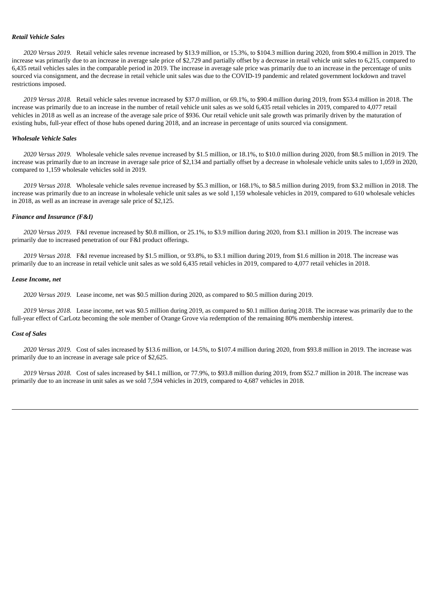#### *Retail Vehicle Sales*

*2020 Versus 2019.* Retail vehicle sales revenue increased by \$13.9 million, or 15.3%, to \$104.3 million during 2020, from \$90.4 million in 2019. The increase was primarily due to an increase in average sale price of \$2,729 and partially offset by a decrease in retail vehicle unit sales to 6,215, compared to 6,435 retail vehicles sales in the comparable period in 2019. The increase in average sale price was primarily due to an increase in the percentage of units sourced via consignment, and the decrease in retail vehicle unit sales was due to the COVID-19 pandemic and related government lockdown and travel restrictions imposed.

*2019 Versus 2018.* Retail vehicle sales revenue increased by \$37.0 million, or 69.1%, to \$90.4 million during 2019, from \$53.4 million in 2018. The increase was primarily due to an increase in the number of retail vehicle unit sales as we sold 6,435 retail vehicles in 2019, compared to 4,077 retail vehicles in 2018 as well as an increase of the average sale price of \$936. Our retail vehicle unit sale growth was primarily driven by the maturation of existing hubs, full-year effect of those hubs opened during 2018, and an increase in percentage of units sourced via consignment.

## *Wholesale Vehicle Sales*

*2020 Versus 2019.* Wholesale vehicle sales revenue increased by \$1.5 million, or 18.1%, to \$10.0 million during 2020, from \$8.5 million in 2019. The increase was primarily due to an increase in average sale price of \$2,134 and partially offset by a decrease in wholesale vehicle units sales to 1,059 in 2020, compared to 1,159 wholesale vehicles sold in 2019.

*2019 Versus 2018.* Wholesale vehicle sales revenue increased by \$5.3 million, or 168.1%, to \$8.5 million during 2019, from \$3.2 million in 2018. The increase was primarily due to an increase in wholesale vehicle unit sales as we sold 1,159 wholesale vehicles in 2019, compared to 610 wholesale vehicles in 2018, as well as an increase in average sale price of \$2,125.

## *Finance and Insurance (F&I)*

*2020 Versus 2019.* F&I revenue increased by \$0.8 million, or 25.1%, to \$3.9 million during 2020, from \$3.1 million in 2019. The increase was primarily due to increased penetration of our F&I product offerings.

*2019 Versus 2018.* F&I revenue increased by \$1.5 million, or 93.8%, to \$3.1 million during 2019, from \$1.6 million in 2018. The increase was primarily due to an increase in retail vehicle unit sales as we sold 6,435 retail vehicles in 2019, compared to 4,077 retail vehicles in 2018.

#### *Lease Income, net*

*2020 Versus 2019.* Lease income, net was \$0.5 million during 2020, as compared to \$0.5 million during 2019.

*2019 Versus 2018.* Lease income, net was \$0.5 million during 2019, as compared to \$0.1 million during 2018. The increase was primarily due to the full-year effect of CarLotz becoming the sole member of Orange Grove via redemption of the remaining 80% membership interest.

#### *Cost of Sales*

*2020 Versus 2019.* Cost of sales increased by \$13.6 million, or 14.5%, to \$107.4 million during 2020, from \$93.8 million in 2019. The increase was primarily due to an increase in average sale price of \$2,625.

*2019 Versus 2018.* Cost of sales increased by \$41.1 million, or 77.9%, to \$93.8 million during 2019, from \$52.7 million in 2018. The increase was primarily due to an increase in unit sales as we sold 7,594 vehicles in 2019, compared to 4,687 vehicles in 2018.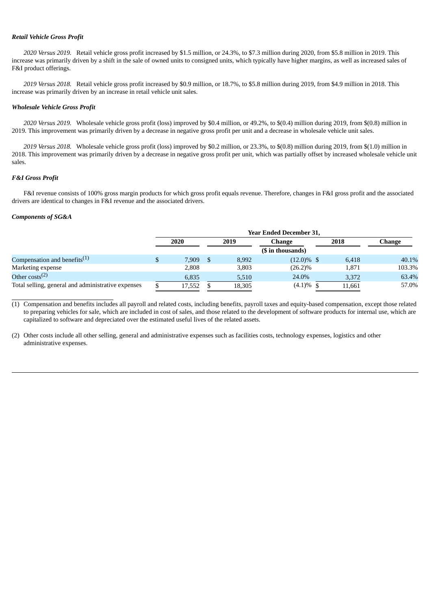## *Retail Vehicle Gross Profit*

*2020 Versus 2019.* Retail vehicle gross profit increased by \$1.5 million, or 24.3%, to \$7.3 million during 2020, from \$5.8 million in 2019. This increase was primarily driven by a shift in the sale of owned units to consigned units, which typically have higher margins, as well as increased sales of F&I product offerings.

*2019 Versus 2018.* Retail vehicle gross profit increased by \$0.9 million, or 18.7%, to \$5.8 million during 2019, from \$4.9 million in 2018. This increase was primarily driven by an increase in retail vehicle unit sales.

#### *Wholesale Vehicle Gross Profit*

*2020 Versus 2019.* Wholesale vehicle gross profit (loss) improved by \$0.4 million, or 49.2%, to \$(0.4) million during 2019, from \$(0.8) million in 2019. This improvement was primarily driven by a decrease in negative gross profit per unit and a decrease in wholesale vehicle unit sales.

*2019 Versus 2018.* Wholesale vehicle gross profit (loss) improved by \$0.2 million, or 23.3%, to \$(0.8) million during 2019, from \$(1.0) million in 2018. This improvement was primarily driven by a decrease in negative gross profit per unit, which was partially offset by increased wholesale vehicle unit sales.

#### *F&I Gross Profit*

F&I revenue consists of 100% gross margin products for which gross profit equals revenue. Therefore, changes in F&I gross profit and the associated drivers are identical to changes in F&I revenue and the associated drivers.

## *Components of SG&A*

|                                                    | <b>Year Ended December 31.</b> |        |      |        |                   |  |        |        |  |
|----------------------------------------------------|--------------------------------|--------|------|--------|-------------------|--|--------|--------|--|
|                                                    | 2020                           |        | 2019 |        | Change            |  | 2018   | Change |  |
|                                                    |                                |        |      |        | (\$ in thousands) |  |        |        |  |
| Compensation and benefits $(1)$                    |                                | 7.909  |      | 8,992  | $(12.0)\%$ \$     |  | 6,418  | 40.1%  |  |
| Marketing expense                                  |                                | 2,808  |      | 3,803  | $(26.2)\%$        |  | 1,871  | 103.3% |  |
| Other costs <sup>(2)</sup>                         |                                | 6,835  |      | 5,510  | 24.0%             |  | 3,372  | 63.4%  |  |
| Total selling, general and administrative expenses |                                | 17,552 |      | 18,305 | $(4.1)\%$ \$      |  | 11.661 | 57.0%  |  |

(1) Compensation and benefits includes all payroll and related costs, including benefits, payroll taxes and equity-based compensation, except those related to preparing vehicles for sale, which are included in cost of sales, and those related to the development of software products for internal use, which are capitalized to software and depreciated over the estimated useful lives of the related assets.

(2) Other costs include all other selling, general and administrative expenses such as facilities costs, technology expenses, logistics and other administrative expenses.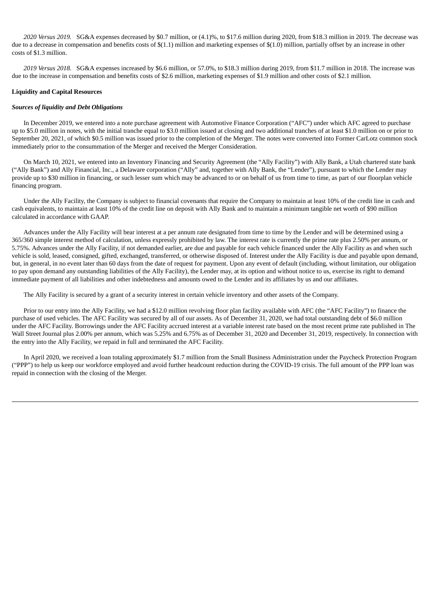*2020 Versus 2019.* SG&A expenses decreased by \$0.7 million, or (4.1)%, to \$17.6 million during 2020, from \$18.3 million in 2019. The decrease was due to a decrease in compensation and benefits costs of \$(1.1) million and marketing expenses of \$(1.0) million, partially offset by an increase in other costs of \$1.3 million.

*2019 Versus 2018.* SG&A expenses increased by \$6.6 million, or 57.0%, to \$18.3 million during 2019, from \$11.7 million in 2018. The increase was due to the increase in compensation and benefits costs of \$2.6 million, marketing expenses of \$1.9 million and other costs of \$2.1 million.

## **Liquidity and Capital Resources**

#### *Sources of liquidity and Debt Obligations*

In December 2019, we entered into a note purchase agreement with Automotive Finance Corporation ("AFC") under which AFC agreed to purchase up to \$5.0 million in notes, with the initial tranche equal to \$3.0 million issued at closing and two additional tranches of at least \$1.0 million on or prior to September 20, 2021, of which \$0.5 million was issued prior to the completion of the Merger. The notes were converted into Former CarLotz common stock immediately prior to the consummation of the Merger and received the Merger Consideration.

On March 10, 2021, we entered into an Inventory Financing and Security Agreement (the "Ally Facility") with Ally Bank, a Utah chartered state bank ("Ally Bank") and Ally Financial, Inc., a Delaware corporation ("Ally" and, together with Ally Bank, the "Lender"), pursuant to which the Lender may provide up to \$30 million in financing, or such lesser sum which may be advanced to or on behalf of us from time to time, as part of our floorplan vehicle financing program.

Under the Ally Facility, the Company is subject to financial covenants that require the Company to maintain at least 10% of the credit line in cash and cash equivalents, to maintain at least 10% of the credit line on deposit with Ally Bank and to maintain a minimum tangible net worth of \$90 million calculated in accordance with GAAP.

Advances under the Ally Facility will bear interest at a per annum rate designated from time to time by the Lender and will be determined using a 365/360 simple interest method of calculation, unless expressly prohibited by law. The interest rate is currently the prime rate plus 2.50% per annum, or 5.75%. Advances under the Ally Facility, if not demanded earlier, are due and payable for each vehicle financed under the Ally Facility as and when such vehicle is sold, leased, consigned, gifted, exchanged, transferred, or otherwise disposed of. Interest under the Ally Facility is due and payable upon demand, but, in general, in no event later than 60 days from the date of request for payment. Upon any event of default (including, without limitation, our obligation to pay upon demand any outstanding liabilities of the Ally Facility), the Lender may, at its option and without notice to us, exercise its right to demand immediate payment of all liabilities and other indebtedness and amounts owed to the Lender and its affiliates by us and our affiliates.

The Ally Facility is secured by a grant of a security interest in certain vehicle inventory and other assets of the Company.

Prior to our entry into the Ally Facility, we had a \$12.0 million revolving floor plan facility available with AFC (the "AFC Facility") to finance the purchase of used vehicles. The AFC Facility was secured by all of our assets. As of December 31, 2020, we had total outstanding debt of \$6.0 million under the AFC Facility. Borrowings under the AFC Facility accrued interest at a variable interest rate based on the most recent prime rate published in The Wall Street Journal plus 2.00% per annum, which was 5.25% and 6.75% as of December 31, 2020 and December 31, 2019, respectively. In connection with the entry into the Ally Facility, we repaid in full and terminated the AFC Facility.

In April 2020, we received a loan totaling approximately \$1.7 million from the Small Business Administration under the Paycheck Protection Program ("PPP") to help us keep our workforce employed and avoid further headcount reduction during the COVID-19 crisis. The full amount of the PPP loan was repaid in connection with the closing of the Merger.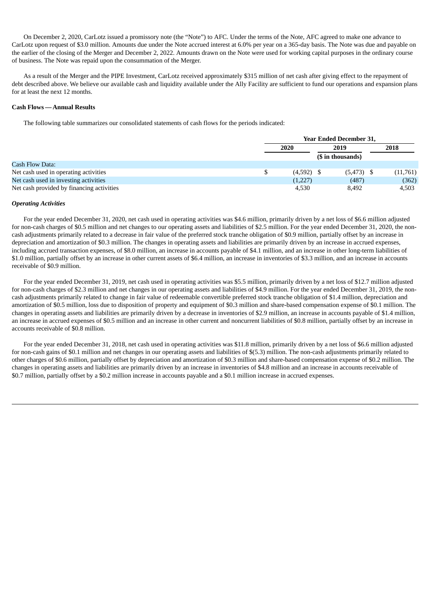On December 2, 2020, CarLotz issued a promissory note (the "Note") to AFC. Under the terms of the Note, AFC agreed to make one advance to CarLotz upon request of \$3.0 million. Amounts due under the Note accrued interest at 6.0% per year on a 365-day basis. The Note was due and payable on the earlier of the closing of the Merger and December 2, 2022. Amounts drawn on the Note were used for working capital purposes in the ordinary course of business. The Note was repaid upon the consummation of the Merger.

As a result of the Merger and the PIPE Investment, CarLotz received approximately \$315 million of net cash after giving effect to the repayment of debt described above. We believe our available cash and liquidity available under the Ally Facility are sufficient to fund our operations and expansion plans for at least the next 12 months.

## **Cash Flows —Annual Results**

The following table summarizes our consolidated statements of cash flows for the periods indicated:

|                                           | <b>Year Ended December 31,</b> |       |              |          |  |  |  |
|-------------------------------------------|--------------------------------|-------|--------------|----------|--|--|--|
|                                           | 2020                           | 2019  |              | 2018     |  |  |  |
|                                           | (\$ in thousands)              |       |              |          |  |  |  |
| Cash Flow Data:                           |                                |       |              |          |  |  |  |
| Net cash used in operating activities     | $(4,592)$ \$                   |       | $(5,473)$ \$ | (11,761) |  |  |  |
| Net cash used in investing activities     | (1,227)                        |       | (487)        | (362)    |  |  |  |
| Net cash provided by financing activities | 4.530                          | 8,492 |              | 4,503    |  |  |  |

## *Operating Activities*

For the year ended December 31, 2020, net cash used in operating activities was \$4.6 million, primarily driven by a net loss of \$6.6 million adjusted for non-cash charges of \$0.5 million and net changes to our operating assets and liabilities of \$2.5 million. For the year ended December 31, 2020, the noncash adjustments primarily related to a decrease in fair value of the preferred stock tranche obligation of \$0.9 million, partially offset by an increase in depreciation and amortization of \$0.3 million. The changes in operating assets and liabilities are primarily driven by an increase in accrued expenses, including accrued transaction expenses, of \$8.0 million, an increase in accounts payable of \$4.1 million, and an increase in other long-term liabilities of \$1.0 million, partially offset by an increase in other current assets of \$6.4 million, an increase in inventories of \$3.3 million, and an increase in accounts receivable of \$0.9 million.

For the year ended December 31, 2019, net cash used in operating activities was \$5.5 million, primarily driven by a net loss of \$12.7 million adjusted for non-cash charges of \$2.3 million and net changes in our operating assets and liabilities of \$4.9 million. For the year ended December 31, 2019, the noncash adjustments primarily related to change in fair value of redeemable convertible preferred stock tranche obligation of \$1.4 million, depreciation and amortization of \$0.5 million, loss due to disposition of property and equipment of \$0.3 million and share-based compensation expense of \$0.1 million. The changes in operating assets and liabilities are primarily driven by a decrease in inventories of \$2.9 million, an increase in accounts payable of \$1.4 million, an increase in accrued expenses of \$0.5 million and an increase in other current and noncurrent liabilities of \$0.8 million, partially offset by an increase in accounts receivable of \$0.8 million.

For the year ended December 31, 2018, net cash used in operating activities was \$11.8 million, primarily driven by a net loss of \$6.6 million adjusted for non-cash gains of \$0.1 million and net changes in our operating assets and liabilities of \$(5.3) million. The non-cash adjustments primarily related to other charges of \$0.6 million, partially offset by depreciation and amortization of \$0.3 million and share-based compensation expense of \$0.2 million. The changes in operating assets and liabilities are primarily driven by an increase in inventories of \$4.8 million and an increase in accounts receivable of \$0.7 million, partially offset by a \$0.2 million increase in accounts payable and a \$0.1 million increase in accrued expenses.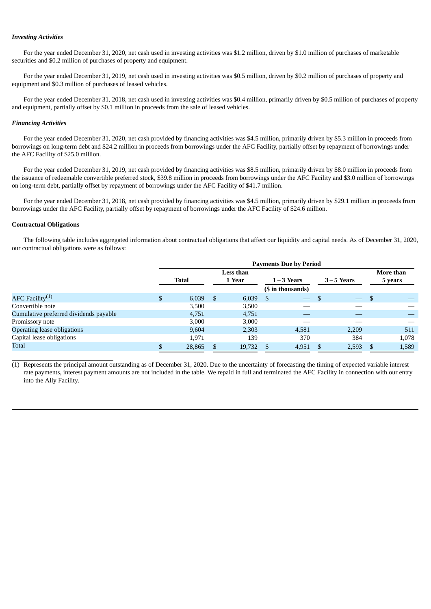#### *Investing Activities*

For the year ended December 31, 2020, net cash used in investing activities was \$1.2 million, driven by \$1.0 million of purchases of marketable securities and \$0.2 million of purchases of property and equipment.

For the year ended December 31, 2019, net cash used in investing activities was \$0.5 million, driven by \$0.2 million of purchases of property and equipment and \$0.3 million of purchases of leased vehicles.

For the year ended December 31, 2018, net cash used in investing activities was \$0.4 million, primarily driven by \$0.5 million of purchases of property and equipment, partially offset by \$0.1 million in proceeds from the sale of leased vehicles.

#### *Financing Activities*

For the year ended December 31, 2020, net cash provided by financing activities was \$4.5 million, primarily driven by \$5.3 million in proceeds from borrowings on long-term debt and \$24.2 million in proceeds from borrowings under the AFC Facility, partially offset by repayment of borrowings under the AFC Facility of \$25.0 million.

For the year ended December 31, 2019, net cash provided by financing activities was \$8.5 million, primarily driven by \$8.0 million in proceeds from the issuance of redeemable convertible preferred stock, \$39.8 million in proceeds from borrowings under the AFC Facility and \$3.0 million of borrowings on long-term debt, partially offset by repayment of borrowings under the AFC Facility of \$41.7 million.

For the year ended December 31, 2018, net cash provided by financing activities was \$4.5 million, primarily driven by \$29.1 million in proceeds from borrowings under the AFC Facility, partially offset by repayment of borrowings under the AFC Facility of \$24.6 million.

## **Contractual Obligations**

The following table includes aggregated information about contractual obligations that affect our liquidity and capital needs. As of December 31, 2020, our contractual obligations were as follows:

|                                        | <b>Payments Due by Period</b> |        |        |        |               |                   |             |           |         |       |
|----------------------------------------|-------------------------------|--------|--------|--------|---------------|-------------------|-------------|-----------|---------|-------|
|                                        | Less than                     |        |        |        |               |                   |             | More than |         |       |
|                                        | <b>Total</b>                  |        | 1 Year |        | $1 - 3$ Years |                   | $3-5$ Years |           | 5 years |       |
|                                        |                               |        |        |        |               | (\$ in thousands) |             |           |         |       |
| AFC Facility <sup>(1)</sup>            | \$                            | 6,039  | -S     | 6,039  | - \$          |                   |             |           | -\$     |       |
| Convertible note                       |                               | 3,500  |        | 3,500  |               |                   |             |           |         |       |
| Cumulative preferred dividends payable |                               | 4.751  |        | 4,751  |               |                   |             |           |         |       |
| Promissory note                        |                               | 3,000  |        | 3,000  |               |                   |             |           |         |       |
| Operating lease obligations            |                               | 9,604  |        | 2,303  |               | 4,581             |             | 2,209     |         | 511   |
| Capital lease obligations              |                               | 1,971  |        | 139    |               | 370               |             | 384       |         | 1,078 |
| <b>Total</b>                           |                               | 28,865 |        | 19,732 |               | 4,951             |             | 2,593     |         | 1,589 |

(1) Represents the principal amount outstanding as of December 31, 2020. Due to the uncertainty of forecasting the timing of expected variable interest rate payments, interest payment amounts are not included in the table. We repaid in full and terminated the AFC Facility in connection with our entry into the Ally Facility.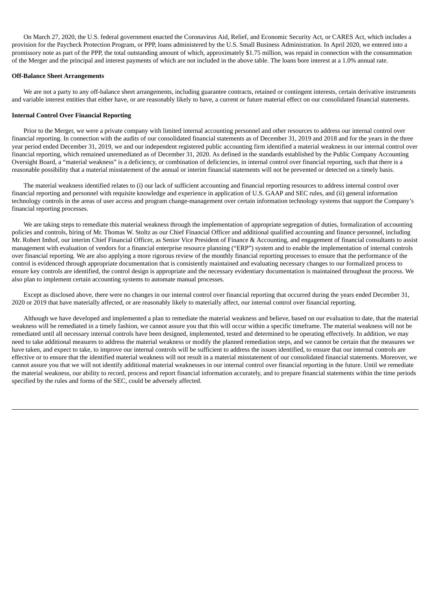On March 27, 2020, the U.S. federal government enacted the Coronavirus Aid, Relief, and Economic Security Act, or CARES Act, which includes a provision for the Paycheck Protection Program, or PPP, loans administered by the U.S. Small Business Administration. In April 2020, we entered into a promissory note as part of the PPP, the total outstanding amount of which, approximately \$1.75 million, was repaid in connection with the consummation of the Merger and the principal and interest payments of which are not included in the above table. The loans bore interest at a 1.0% annual rate.

#### **Off-Balance Sheet Arrangements**

We are not a party to any off-balance sheet arrangements, including guarantee contracts, retained or contingent interests, certain derivative instruments and variable interest entities that either have, or are reasonably likely to have, a current or future material effect on our consolidated financial statements.

## **Internal Control Over Financial Reporting**

Prior to the Merger, we were a private company with limited internal accounting personnel and other resources to address our internal control over financial reporting. In connection with the audits of our consolidated financial statements as of December 31, 2019 and 2018 and for the years in the three year period ended December 31, 2019, we and our independent registered public accounting firm identified a material weakness in our internal control over financial reporting, which remained unremediated as of December 31, 2020. As defined in the standards established by the Public Company Accounting Oversight Board, a "material weakness" is a deficiency, or combination of deficiencies, in internal control over financial reporting, such that there is a reasonable possibility that a material misstatement of the annual or interim financial statements will not be prevented or detected on a timely basis.

The material weakness identified relates to (i) our lack of sufficient accounting and financial reporting resources to address internal control over financial reporting and personnel with requisite knowledge and experience in application of U.S. GAAP and SEC rules, and (ii) general information technology controls in the areas of user access and program change-management over certain information technology systems that support the Company's financial reporting processes.

We are taking steps to remediate this material weakness through the implementation of appropriate segregation of duties, formalization of accounting policies and controls, hiring of Mr. Thomas W. Stoltz as our Chief Financial Officer and additional qualified accounting and finance personnel, including Mr. Robert Imhof, our interim Chief Financial Officer, as Senior Vice President of Finance & Accounting, and engagement of financial consultants to assist management with evaluation of vendors for a financial enterprise resource planning ("ERP") system and to enable the implementation of internal controls over financial reporting. We are also applying a more rigorous review of the monthly financial reporting processes to ensure that the performance of the control is evidenced through appropriate documentation that is consistently maintained and evaluating necessary changes to our formalized process to ensure key controls are identified, the control design is appropriate and the necessary evidentiary documentation is maintained throughout the process. We also plan to implement certain accounting systems to automate manual processes.

Except as disclosed above, there were no changes in our internal control over financial reporting that occurred during the years ended December 31, 2020 or 2019 that have materially affected, or are reasonably likely to materially affect, our internal control over financial reporting.

Although we have developed and implemented a plan to remediate the material weakness and believe, based on our evaluation to date, that the material weakness will be remediated in a timely fashion, we cannot assure you that this will occur within a specific timeframe. The material weakness will not be remediated until all necessary internal controls have been designed, implemented, tested and determined to be operating effectively. In addition, we may need to take additional measures to address the material weakness or modify the planned remediation steps, and we cannot be certain that the measures we have taken, and expect to take, to improve our internal controls will be sufficient to address the issues identified, to ensure that our internal controls are effective or to ensure that the identified material weakness will not result in a material misstatement of our consolidated financial statements. Moreover, we cannot assure you that we will not identify additional material weaknesses in our internal control over financial reporting in the future. Until we remediate the material weakness, our ability to record, process and report financial information accurately, and to prepare financial statements within the time periods specified by the rules and forms of the SEC, could be adversely affected.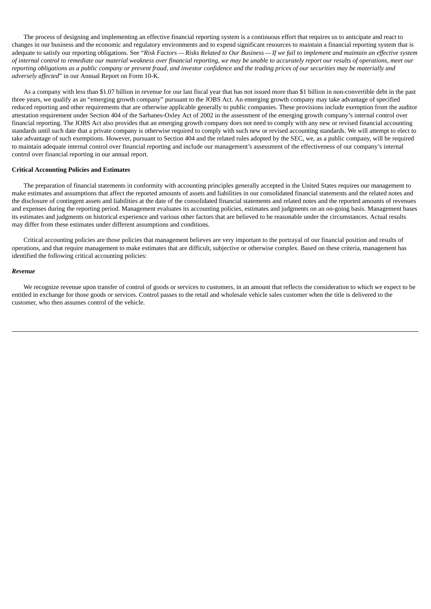The process of designing and implementing an effective financial reporting system is a continuous effort that requires us to anticipate and react to changes in our business and the economic and regulatory environments and to expend significant resources to maintain a financial reporting system that is adequate to satisfy our reporting obligations. See "Risk Factors - Risks Related to Our Business - If we fail to implement and maintain an effective system of internal control to remediate our material weakness over financial reporting, we may be unable to accurately report our results of operations, meet our reporting obligations as a public company or prevent fraud, and investor confidence and the trading prices of our securities may be materially and *adversely affected*" in our Annual Report on Form 10-K.

As a company with less than \$1.07 billion in revenue for our last fiscal year that has not issued more than \$1 billion in non-convertible debt in the past three years, we qualify as an "emerging growth company" pursuant to the JOBS Act. An emerging growth company may take advantage of specified reduced reporting and other requirements that are otherwise applicable generally to public companies. These provisions include exemption from the auditor attestation requirement under Section 404 of the Sarbanes-Oxley Act of 2002 in the assessment of the emerging growth company's internal control over financial reporting. The JOBS Act also provides that an emerging growth company does not need to comply with any new or revised financial accounting standards until such date that a private company is otherwise required to comply with such new or revised accounting standards. We will attempt to elect to take advantage of such exemptions. However, pursuant to Section 404 and the related rules adopted by the SEC, we, as a public company, will be required to maintain adequate internal control over financial reporting and include our management's assessment of the effectiveness of our company's internal control over financial reporting in our annual report.

#### **Critical Accounting Policies and Estimates**

The preparation of financial statements in conformity with accounting principles generally accepted in the United States requires our management to make estimates and assumptions that affect the reported amounts of assets and liabilities in our consolidated financial statements and the related notes and the disclosure of contingent assets and liabilities at the date of the consolidated financial statements and related notes and the reported amounts of revenues and expenses during the reporting period. Management evaluates its accounting policies, estimates and judgments on an on-going basis. Management bases its estimates and judgments on historical experience and various other factors that are believed to be reasonable under the circumstances. Actual results may differ from these estimates under different assumptions and conditions.

Critical accounting policies are those policies that management believes are very important to the portrayal of our financial position and results of operations, and that require management to make estimates that are difficult, subjective or otherwise complex. Based on these criteria, management has identified the following critical accounting policies:

#### *Revenue*

We recognize revenue upon transfer of control of goods or services to customers, in an amount that reflects the consideration to which we expect to be entitled in exchange for those goods or services. Control passes to the retail and wholesale vehicle sales customer when the title is delivered to the customer, who then assumes control of the vehicle.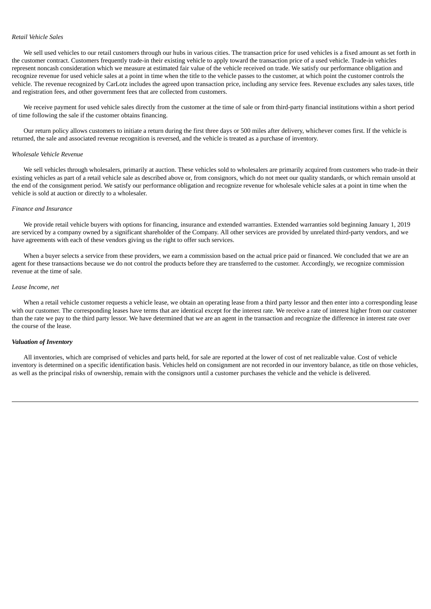#### *Retail Vehicle Sales*

We sell used vehicles to our retail customers through our hubs in various cities. The transaction price for used vehicles is a fixed amount as set forth in the customer contract. Customers frequently trade-in their existing vehicle to apply toward the transaction price of a used vehicle. Trade-in vehicles represent noncash consideration which we measure at estimated fair value of the vehicle received on trade. We satisfy our performance obligation and recognize revenue for used vehicle sales at a point in time when the title to the vehicle passes to the customer, at which point the customer controls the vehicle. The revenue recognized by CarLotz includes the agreed upon transaction price, including any service fees. Revenue excludes any sales taxes, title and registration fees, and other government fees that are collected from customers.

We receive payment for used vehicle sales directly from the customer at the time of sale or from third-party financial institutions within a short period of time following the sale if the customer obtains financing.

Our return policy allows customers to initiate a return during the first three days or 500 miles after delivery, whichever comes first. If the vehicle is returned, the sale and associated revenue recognition is reversed, and the vehicle is treated as a purchase of inventory.

## *Wholesale Vehicle Revenue*

We sell vehicles through wholesalers, primarily at auction. These vehicles sold to wholesalers are primarily acquired from customers who trade-in their existing vehicles as part of a retail vehicle sale as described above or, from consignors, which do not meet our quality standards, or which remain unsold at the end of the consignment period. We satisfy our performance obligation and recognize revenue for wholesale vehicle sales at a point in time when the vehicle is sold at auction or directly to a wholesaler.

### *Finance and Insurance*

We provide retail vehicle buyers with options for financing, insurance and extended warranties. Extended warranties sold beginning January 1, 2019 are serviced by a company owned by a significant shareholder of the Company. All other services are provided by unrelated third-party vendors, and we have agreements with each of these vendors giving us the right to offer such services.

When a buyer selects a service from these providers, we earn a commission based on the actual price paid or financed. We concluded that we are an agent for these transactions because we do not control the products before they are transferred to the customer. Accordingly, we recognize commission revenue at the time of sale.

#### *Lease Income, net*

When a retail vehicle customer requests a vehicle lease, we obtain an operating lease from a third party lessor and then enter into a corresponding lease with our customer. The corresponding leases have terms that are identical except for the interest rate. We receive a rate of interest higher from our customer than the rate we pay to the third party lessor. We have determined that we are an agent in the transaction and recognize the difference in interest rate over the course of the lease.

#### *Valuation of Inventory*

All inventories, which are comprised of vehicles and parts held, for sale are reported at the lower of cost of net realizable value. Cost of vehicle inventory is determined on a specific identification basis. Vehicles held on consignment are not recorded in our inventory balance, as title on those vehicles, as well as the principal risks of ownership, remain with the consignors until a customer purchases the vehicle and the vehicle is delivered.